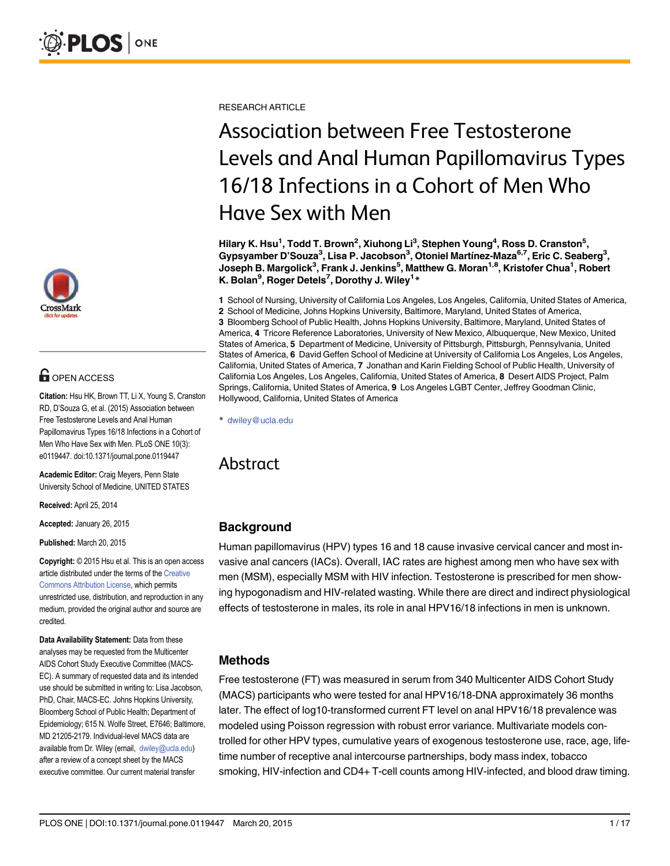

# **OPEN ACCESS**

Citation: Hsu HK, Brown TT, Li X, Young S, Cranston RD, D'Souza G, et al. (2015) Association between Free Testosterone Levels and Anal Human Papillomavirus Types 16/18 Infections in a Cohort of Men Who Have Sex with Men. PLoS ONE 10(3): e0119447. doi:10.1371/journal.pone.0119447

Academic Editor: Craig Meyers, Penn State University School of Medicine, UNITED STATES

Received: April 25, 2014

Accepted: January 26, 2015

Published: March 20, 2015

Copyright: © 2015 Hsu et al. This is an open access article distributed under the terms of the [Creative](http://creativecommons.org/licenses/by/4.0/) [Commons Attribution License](http://creativecommons.org/licenses/by/4.0/), which permits unrestricted use, distribution, and reproduction in any medium, provided the original author and source are credited.

Data Availability Statement: Data from these analyses may be requested from the Multicenter AIDS Cohort Study Executive Committee (MACS-EC). A summary of requested data and its intended use should be submitted in writing to: Lisa Jacobson, PhD, Chair, MACS-EC. Johns Hopkins University, Bloomberg School of Public Health; Department of Epidemiology; 615 N. Wolfe Street, E7646; Baltimore, MD 21205-2179. Individual-level MACS data are available from Dr. Wiley (email, dwiley@ucla.edu) after a review of a concept sheet by the MACS executive committee. Our current material transfer

RESEARCH ARTICLE

# Association between Free Testosterone Levels and Anal Human Papillomavirus Types 16/18 Infections in a Cohort of Men Who Have Sex with Men

Hilary K. Hsu<sup>1</sup>, Todd T. Brown<sup>2</sup>, Xiuhong Li<sup>3</sup>, Stephen Young<sup>4</sup>, Ross D. Cranston<sup>5</sup>, Gypsyamber D'Souza<sup>3</sup>, Lisa P. Jacobson<sup>3</sup>, Otoniel Martínez-Maza<sup>6,7</sup>, Eric C. Seaberg<sup>3</sup>, Joseph B. Margolick<sup>3</sup>, Frank J. Jenkins<sup>5</sup>, Matthew G. Moran<sup>1,8</sup>, Kristofer Chua<sup>1</sup>, Robert K. Bolan<sup>9</sup>, Roger Detels<sup>7</sup>, Dorothy J. Wiley<sup>1\*</sup>

1 School of Nursing, University of California Los Angeles, Los Angeles, California, United States of America, 2 School of Medicine, Johns Hopkins University, Baltimore, Maryland, United States of America, 3 Bloomberg School of Public Health, Johns Hopkins University, Baltimore, Maryland, United States of America, 4 Tricore Reference Laboratories, University of New Mexico, Albuquerque, New Mexico, United States of America, 5 Department of Medicine, University of Pittsburgh, Pittsburgh, Pennsylvania, United States of America, 6 David Geffen School of Medicine at University of California Los Angeles, Los Angeles, California, United States of America, 7 Jonathan and Karin Fielding School of Public Health, University of California Los Angeles, Los Angeles, California, United States of America, 8 Desert AIDS Project, Palm Springs, California, United States of America, 9 Los Angeles LGBT Center, Jeffrey Goodman Clinic, Hollywood, California, United States of America

\* dwiley@ucla.edu

# Abstract

## **Background**

Human papillomavirus (HPV) types 16 and 18 cause invasive cervical cancer and most invasive anal cancers (IACs). Overall, IAC rates are highest among men who have sex with men (MSM), especially MSM with HIV infection. Testosterone is prescribed for men showing hypogonadism and HIV-related wasting. While there are direct and indirect physiological effects of testosterone in males, its role in anal HPV16/18 infections in men is unknown.

## Methods

Free testosterone (FT) was measured in serum from 340 Multicenter AIDS Cohort Study (MACS) participants who were tested for anal HPV16/18-DNA approximately 36 months later. The effect of log10-transformed current FT level on anal HPV16/18 prevalence was modeled using Poisson regression with robust error variance. Multivariate models controlled for other HPV types, cumulative years of exogenous testosterone use, race, age, lifetime number of receptive anal intercourse partnerships, body mass index, tobacco smoking, HIV-infection and CD4+ T-cell counts among HIV-infected, and blood draw timing.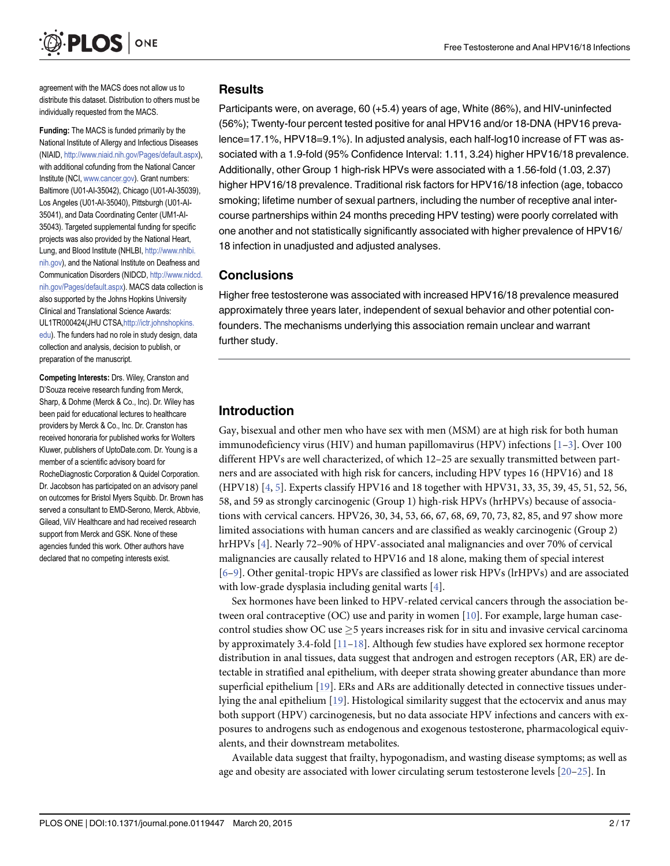<span id="page-1-0"></span>

agreement with the MACS does not allow us to distribute this dataset. Distribution to others must be individually requested from the MACS.

Funding: The MACS is funded primarily by the National Institute of Allergy and Infectious Diseases (NIAID, <http://www.niaid.nih.gov/Pages/default.aspx>), with additional cofunding from the National Cancer Institute (NCI, [www.cancer.gov\)](http://www.cancer.gov). Grant numbers: Baltimore (U01-AI-35042), Chicago (U01-AI-35039), Los Angeles (U01-AI-35040), Pittsburgh (U01-AI-35041), and Data Coordinating Center (UM1-AI-35043). Targeted supplemental funding for specific projects was also provided by the National Heart, Lung, and Blood Institute (NHLBI, [http://www.nhlbi.](http://www.nhlbi.nih.gov) [nih.gov\)](http://www.nhlbi.nih.gov), and the National Institute on Deafness and Communication Disorders (NIDCD, [http://www.nidcd.](http://www.nidcd.nih.gov/Pages/default.aspx) [nih.gov/Pages/default.aspx](http://www.nidcd.nih.gov/Pages/default.aspx)). MACS data collection is also supported by the Johns Hopkins University Clinical and Translational Science Awards: UL1TR000424(JHU CTSA,[http://ictr.johnshopkins.](http://ictr.johnshopkins.edu) [edu\)](http://ictr.johnshopkins.edu). The funders had no role in study design, data collection and analysis, decision to publish, or preparation of the manuscript.

Competing Interests: Drs. Wiley, Cranston and D'Souza receive research funding from Merck, Sharp, & Dohme (Merck & Co., Inc). Dr. Wiley has been paid for educational lectures to healthcare providers by Merck & Co., Inc. Dr. Cranston has received honoraria for published works for Wolters Kluwer, publishers of UptoDate.com. Dr. Young is a member of a scientific advisory board for RocheDiagnostic Corporation & Quidel Corporation. Dr. Jacobson has participated on an advisory panel on outcomes for Bristol Myers Squibb. Dr. Brown has served a consultant to EMD-Serono, Merck, Abbvie, Gilead, ViiV Healthcare and had received research support from Merck and GSK. None of these agencies funded this work. Other authors have declared that no competing interests exist.

#### Results

Participants were, on average, 60 (+5.4) years of age, White (86%), and HIV-uninfected (56%); Twenty-four percent tested positive for anal HPV16 and/or 18-DNA (HPV16 prevalence=17.1%, HPV18=9.1%). In adjusted analysis, each half-log10 increase of FT was associated with a 1.9-fold (95% Confidence Interval: 1.11, 3.24) higher HPV16/18 prevalence. Additionally, other Group 1 high-risk HPVs were associated with a 1.56-fold (1.03, 2.37) higher HPV16/18 prevalence. Traditional risk factors for HPV16/18 infection (age, tobacco smoking; lifetime number of sexual partners, including the number of receptive anal intercourse partnerships within 24 months preceding HPV testing) were poorly correlated with one another and not statistically significantly associated with higher prevalence of HPV16/ 18 infection in unadjusted and adjusted analyses.

#### **Conclusions**

Higher free testosterone was associated with increased HPV16/18 prevalence measured approximately three years later, independent of sexual behavior and other potential confounders. The mechanisms underlying this association remain unclear and warrant further study.

# Introduction

Gay, bisexual and other men who have sex with men (MSM) are at high risk for both human immunodeficiency virus (HIV) and human papillomavirus (HPV) infections  $[1-3]$  $[1-3]$  $[1-3]$  $[1-3]$ . Over 100 different HPVs are well characterized, of which 12–25 are sexually transmitted between partners and are associated with high risk for cancers, including HPV types 16 (HPV16) and 18 (HPV18) [\[4](#page-13-0), [5](#page-13-0)]. Experts classify HPV16 and 18 together with HPV31, 33, 35, 39, 45, 51, 52, 56, 58, and 59 as strongly carcinogenic (Group 1) high-risk HPVs (hrHPVs) because of associations with cervical cancers. HPV26, 30, 34, 53, 66, 67, 68, 69, 70, 73, 82, 85, and 97 show more limited associations with human cancers and are classified as weakly carcinogenic (Group 2) hrHPVs [[4](#page-13-0)]. Nearly 72–90% of HPV-associated anal malignancies and over 70% of cervical malignancies are causally related to HPV16 and 18 alone, making them of special interest [\[6](#page-14-0)–[9](#page-14-0)]. Other genital-tropic HPVs are classified as lower risk HPVs (lrHPVs) and are associated with low-grade dysplasia including genital warts  $[4]$  $[4]$ .

Sex hormones have been linked to HPV-related cervical cancers through the association between oral contraceptive (OC) use and parity in women  $[10]$  $[10]$  $[10]$ . For example, large human casecontrol studies show OC use  $\geq$ 5 years increases risk for in situ and invasive cervical carcinoma by approximately 3.4-fold  $[11-18]$  $[11-18]$  $[11-18]$  $[11-18]$ . Although few studies have explored sex hormone receptor distribution in anal tissues, data suggest that androgen and estrogen receptors (AR, ER) are detectable in stratified anal epithelium, with deeper strata showing greater abundance than more superficial epithelium [[19](#page-14-0)]. ERs and ARs are additionally detected in connective tissues underlying the anal epithelium [\[19\]](#page-14-0). Histological similarity suggest that the ectocervix and anus may both support (HPV) carcinogenesis, but no data associate HPV infections and cancers with exposures to androgens such as endogenous and exogenous testosterone, pharmacological equivalents, and their downstream metabolites.

Available data suggest that frailty, hypogonadism, and wasting disease symptoms; as well as age and obesity are associated with lower circulating serum testosterone levels [[20](#page-14-0)–[25](#page-15-0)]. In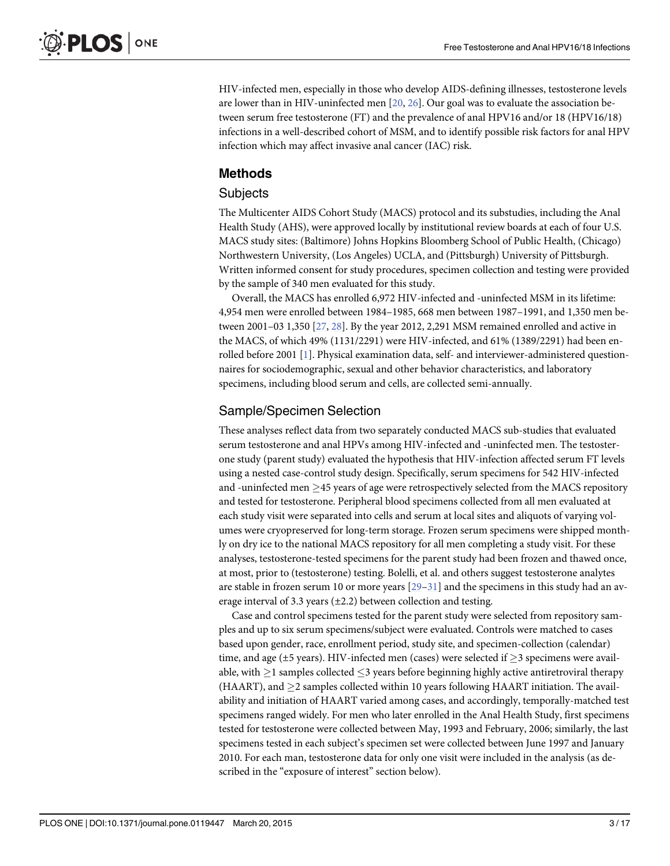<span id="page-2-0"></span>HIV-infected men, especially in those who develop AIDS-defining illnesses, testosterone levels are lower than in HIV-uninfected men  $[20, 26]$  $[20, 26]$  $[20, 26]$  $[20, 26]$  $[20, 26]$ . Our goal was to evaluate the association between serum free testosterone (FT) and the prevalence of anal HPV16 and/or 18 (HPV16/18) infections in a well-described cohort of MSM, and to identify possible risk factors for anal HPV infection which may affect invasive anal cancer (IAC) risk.

### Methods

#### **Subjects**

The Multicenter AIDS Cohort Study (MACS) protocol and its substudies, including the Anal Health Study (AHS), were approved locally by institutional review boards at each of four U.S. MACS study sites: (Baltimore) Johns Hopkins Bloomberg School of Public Health, (Chicago) Northwestern University, (Los Angeles) UCLA, and (Pittsburgh) University of Pittsburgh. Written informed consent for study procedures, specimen collection and testing were provided by the sample of 340 men evaluated for this study.

Overall, the MACS has enrolled 6,972 HIV-infected and -uninfected MSM in its lifetime: 4,954 men were enrolled between 1984–1985, 668 men between 1987–1991, and 1,350 men between 2001–03 1,350 [[27](#page-15-0), [28](#page-15-0)]. By the year 2012, 2,291 MSM remained enrolled and active in the MACS, of which 49% (1131/2291) were HIV-infected, and 61% (1389/2291) had been enrolled before 2001 [\[1\]](#page-13-0). Physical examination data, self- and interviewer-administered questionnaires for sociodemographic, sexual and other behavior characteristics, and laboratory specimens, including blood serum and cells, are collected semi-annually.

#### Sample/Specimen Selection

These analyses reflect data from two separately conducted MACS sub-studies that evaluated serum testosterone and anal HPVs among HIV-infected and -uninfected men. The testosterone study (parent study) evaluated the hypothesis that HIV-infection affected serum FT levels using a nested case-control study design. Specifically, serum specimens for 542 HIV-infected and -uninfected men  $\geq$ 45 years of age were retrospectively selected from the MACS repository and tested for testosterone. Peripheral blood specimens collected from all men evaluated at each study visit were separated into cells and serum at local sites and aliquots of varying volumes were cryopreserved for long-term storage. Frozen serum specimens were shipped monthly on dry ice to the national MACS repository for all men completing a study visit. For these analyses, testosterone-tested specimens for the parent study had been frozen and thawed once, at most, prior to (testosterone) testing. Bolelli, et al. and others suggest testosterone analytes are stable in frozen serum 10 or more years  $[29-31]$  $[29-31]$  $[29-31]$  $[29-31]$  $[29-31]$  and the specimens in this study had an average interval of 3.3 years  $(\pm 2.2)$  between collection and testing.

Case and control specimens tested for the parent study were selected from repository samples and up to six serum specimens/subject were evaluated. Controls were matched to cases based upon gender, race, enrollment period, study site, and specimen-collection (calendar) time, and age ( $\pm$ 5 years). HIV-infected men (cases) were selected if  $\geq$ 3 specimens were available, with  $>$ 1 samples collected  $<$ 3 years before beginning highly active antiretroviral therapy (HAART), and  $\geq$ 2 samples collected within 10 years following HAART initiation. The availability and initiation of HAART varied among cases, and accordingly, temporally-matched test specimens ranged widely. For men who later enrolled in the Anal Health Study, first specimens tested for testosterone were collected between May, 1993 and February, 2006; similarly, the last specimens tested in each subject's specimen set were collected between June 1997 and January 2010. For each man, testosterone data for only one visit were included in the analysis (as described in the "exposure of interest" section below).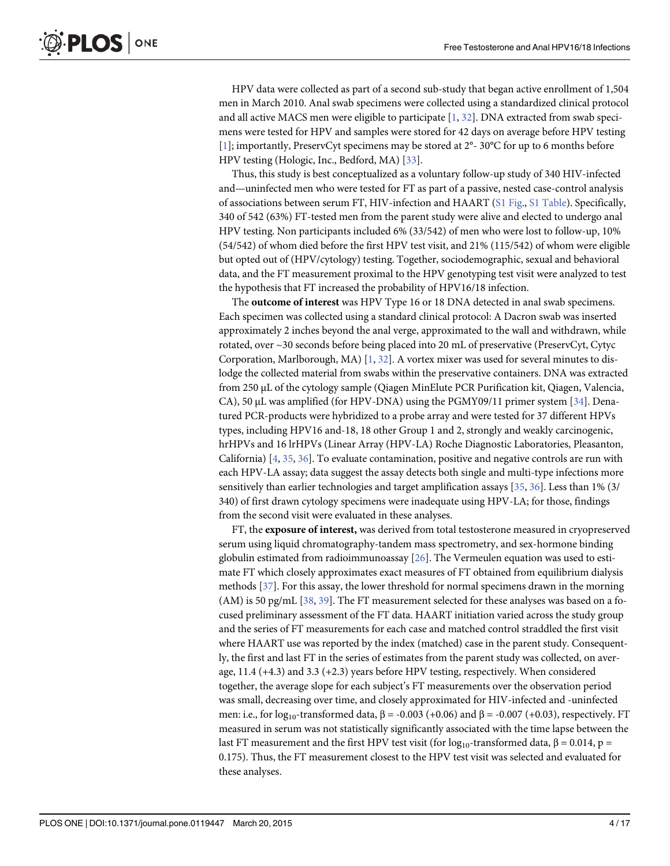<span id="page-3-0"></span>HPV data were collected as part of a second sub-study that began active enrollment of 1,504 men in March 2010. Anal swab specimens were collected using a standardized clinical protocol and all active MACS men were eligible to participate  $[1, 32]$  $[1, 32]$  $[1, 32]$  $[1, 32]$  $[1, 32]$ . DNA extracted from swab specimens were tested for HPV and samples were stored for 42 days on average before HPV testing [\[1](#page-13-0)]; importantly, PreservCyt specimens may be stored at 2°- 30°C for up to 6 months before HPV testing (Hologic, Inc., Bedford, MA) [\[33\]](#page-15-0).

Thus, this study is best conceptualized as a voluntary follow-up study of 340 HIV-infected and—uninfected men who were tested for FT as part of a passive, nested case-control analysis of associations between serum FT, HIV-infection and HAART [\(S1 Fig](#page-12-0)., [S1 Table\)](#page-12-0). Specifically, 340 of 542 (63%) FT-tested men from the parent study were alive and elected to undergo anal HPV testing. Non participants included 6% (33/542) of men who were lost to follow-up, 10% (54/542) of whom died before the first HPV test visit, and 21% (115/542) of whom were eligible but opted out of (HPV/cytology) testing. Together, sociodemographic, sexual and behavioral data, and the FT measurement proximal to the HPV genotyping test visit were analyzed to test the hypothesis that FT increased the probability of HPV16/18 infection.

The outcome of interest was HPV Type 16 or 18 DNA detected in anal swab specimens. Each specimen was collected using a standard clinical protocol: A Dacron swab was inserted approximately 2 inches beyond the anal verge, approximated to the wall and withdrawn, while rotated, over ~30 seconds before being placed into 20 mL of preservative (PreservCyt, Cytyc Corporation, Marlborough, MA)  $[1, 32]$  $[1, 32]$  $[1, 32]$  $[1, 32]$ . A vortex mixer was used for several minutes to dislodge the collected material from swabs within the preservative containers. DNA was extracted from 250 μL of the cytology sample (Qiagen MinElute PCR Purification kit, Qiagen, Valencia, CA), 50  $\mu$ L was amplified (for HPV-DNA) using the PGMY09/11 primer system [\[34\]](#page-15-0). Denatured PCR-products were hybridized to a probe array and were tested for 37 different HPVs types, including HPV16 and-18, 18 other Group 1 and 2, strongly and weakly carcinogenic, hrHPVs and 16 lrHPVs (Linear Array (HPV-LA) Roche Diagnostic Laboratories, Pleasanton, California) [\[4,](#page-13-0) [35,](#page-15-0) [36\]](#page-15-0). To evaluate contamination, positive and negative controls are run with each HPV-LA assay; data suggest the assay detects both single and multi-type infections more sensitively than earlier technologies and target amplification assays  $[35, 36]$  $[35, 36]$  $[35, 36]$ . Less than 1% (3/ 340) of first drawn cytology specimens were inadequate using HPV-LA; for those, findings from the second visit were evaluated in these analyses.

FT, the exposure of interest, was derived from total testosterone measured in cryopreserved serum using liquid chromatography-tandem mass spectrometry, and sex-hormone binding globulin estimated from radioimmunoassay [\[26\]](#page-15-0). The Vermeulen equation was used to estimate FT which closely approximates exact measures of FT obtained from equilibrium dialysis methods [\[37\]](#page-15-0). For this assay, the lower threshold for normal specimens drawn in the morning (AM) is 50 pg/mL  $[38, 39]$  $[38, 39]$  $[38, 39]$ . The FT measurement selected for these analyses was based on a focused preliminary assessment of the FT data. HAART initiation varied across the study group and the series of FT measurements for each case and matched control straddled the first visit where HAART use was reported by the index (matched) case in the parent study. Consequently, the first and last FT in the series of estimates from the parent study was collected, on average, 11.4 (+4.3) and 3.3 (+2.3) years before HPV testing, respectively. When considered together, the average slope for each subject's FT measurements over the observation period was small, decreasing over time, and closely approximated for HIV-infected and -uninfected men: i.e., for  $log_{10}$ -transformed data,  $\beta$  = -0.003 (+0.06) and  $\beta$  = -0.007 (+0.03), respectively. FT measured in serum was not statistically significantly associated with the time lapse between the last FT measurement and the first HPV test visit (for  $log_{10}$ -transformed data, β = 0.014, p = 0.175). Thus, the FT measurement closest to the HPV test visit was selected and evaluated for these analyses.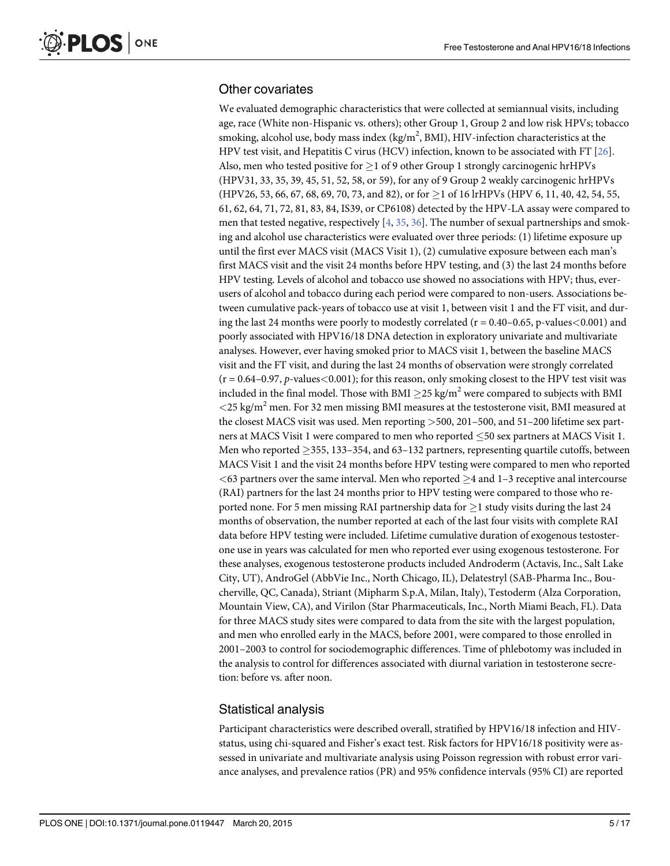#### <span id="page-4-0"></span>Other covariates

We evaluated demographic characteristics that were collected at semiannual visits, including age, race (White non-Hispanic vs. others); other Group 1, Group 2 and low risk HPVs; tobacco smoking, alcohol use, body mass index (kg/m<sup>2</sup>, BMI), HIV-infection characteristics at the HPV test visit, and Hepatitis C virus (HCV) infection, known to be associated with FT [\[26\]](#page-15-0). Also, men who tested positive for  $\geq 1$  of 9 other Group 1 strongly carcinogenic hrHPVs (HPV31, 33, 35, 39, 45, 51, 52, 58, or 59), for any of 9 Group 2 weakly carcinogenic hrHPVs (HPV26, 53, 66, 67, 68, 69, 70, 73, and 82), or for  $\geq$  1 of 16 lrHPVs (HPV 6, 11, 40, 42, 54, 55, 61, 62, 64, 71, 72, 81, 83, 84, IS39, or CP6108) detected by the HPV-LA assay were compared to men that tested negative, respectively  $[4, 35, 36]$  $[4, 35, 36]$  $[4, 35, 36]$  $[4, 35, 36]$  $[4, 35, 36]$  $[4, 35, 36]$  $[4, 35, 36]$ . The number of sexual partnerships and smoking and alcohol use characteristics were evaluated over three periods: (1) lifetime exposure up until the first ever MACS visit (MACS Visit 1), (2) cumulative exposure between each man's first MACS visit and the visit 24 months before HPV testing, and (3) the last 24 months before HPV testing. Levels of alcohol and tobacco use showed no associations with HPV; thus, everusers of alcohol and tobacco during each period were compared to non-users. Associations between cumulative pack-years of tobacco use at visit 1, between visit 1 and the FT visit, and during the last 24 months were poorly to modestly correlated ( $r = 0.40 - 0.65$ , p-values $< 0.001$ ) and poorly associated with HPV16/18 DNA detection in exploratory univariate and multivariate analyses. However, ever having smoked prior to MACS visit 1, between the baseline MACS visit and the FT visit, and during the last 24 months of observation were strongly correlated  $(r = 0.64 - 0.97, p-values < 0.001)$ ; for this reason, only smoking closest to the HPV test visit was included in the final model. Those with BMI  $\geq$ 25 kg/m<sup>2</sup> were compared to subjects with BMI  $<$  25 kg/m<sup>2</sup> men. For 32 men missing BMI measures at the testosterone visit, BMI measured at the closest MACS visit was used. Men reporting >500, 201–500, and 51–200 lifetime sex partners at MACS Visit 1 were compared to men who reported 50 sex partners at MACS Visit 1. Men who reported  $\geq$  355, 133–354, and 63–132 partners, representing quartile cutoffs, between MACS Visit 1 and the visit 24 months before HPV testing were compared to men who reported  $<$  63 partners over the same interval. Men who reported  $>$  4 and 1–3 receptive anal intercourse (RAI) partners for the last 24 months prior to HPV testing were compared to those who reported none. For 5 men missing RAI partnership data for  $\geq$  1 study visits during the last 24 months of observation, the number reported at each of the last four visits with complete RAI data before HPV testing were included. Lifetime cumulative duration of exogenous testosterone use in years was calculated for men who reported ever using exogenous testosterone. For these analyses, exogenous testosterone products included Androderm (Actavis, Inc., Salt Lake City, UT), AndroGel (AbbVie Inc., North Chicago, IL), Delatestryl (SAB-Pharma Inc., Boucherville, QC, Canada), Striant (Mipharm S.p.A, Milan, Italy), Testoderm (Alza Corporation, Mountain View, CA), and Virilon (Star Pharmaceuticals, Inc., North Miami Beach, FL). Data for three MACS study sites were compared to data from the site with the largest population, and men who enrolled early in the MACS, before 2001, were compared to those enrolled in 2001–2003 to control for sociodemographic differences. Time of phlebotomy was included in the analysis to control for differences associated with diurnal variation in testosterone secretion: before vs. after noon.

#### Statistical analysis

Participant characteristics were described overall, stratified by HPV16/18 infection and HIVstatus, using chi-squared and Fisher's exact test. Risk factors for HPV16/18 positivity were assessed in univariate and multivariate analysis using Poisson regression with robust error variance analyses, and prevalence ratios (PR) and 95% confidence intervals (95% CI) are reported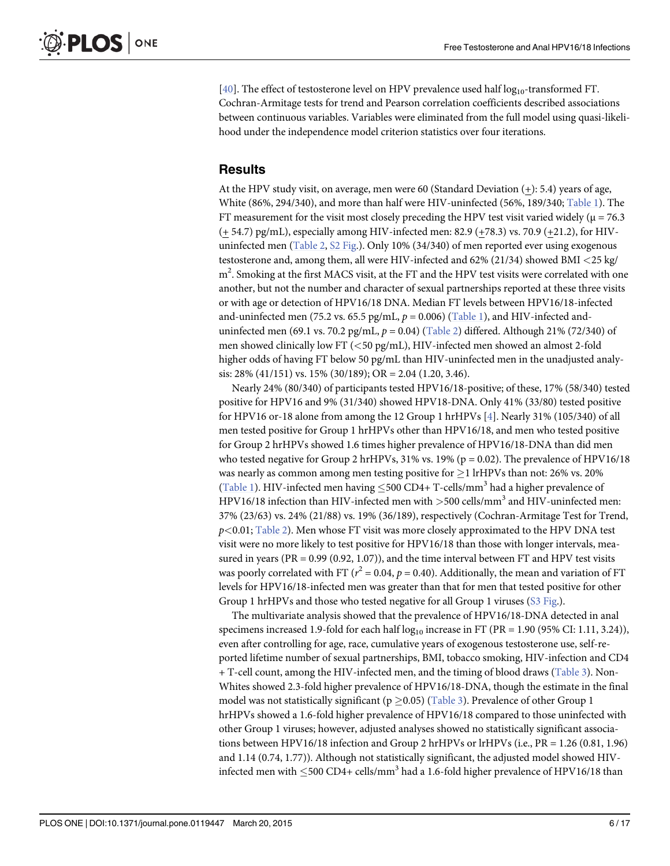<span id="page-5-0"></span>[\[40](#page-15-0)]. The effect of testosterone level on HPV prevalence used half  $log_{10}$ -transformed FT. Cochran-Armitage tests for trend and Pearson correlation coefficients described associations between continuous variables. Variables were eliminated from the full model using quasi-likelihood under the independence model criterion statistics over four iterations.

#### **Results**

At the HPV study visit, on average, men were 60 (Standard Deviation (+): 5.4) years of age, White (86%, 294/340), and more than half were HIV-uninfected (56%, 189/340; [Table 1](#page-6-0)). The FT measurement for the visit most closely preceding the HPV test visit varied widely ( $\mu$  = 76.3 (+ 54.7) pg/mL), especially among HIV-infected men: 82.9 (+78.3) vs. 70.9 (+21.2), for HIVuninfected men ([Table 2](#page-8-0), [S2 Fig.](#page-12-0)). Only 10% (34/340) of men reported ever using exogenous testosterone and, among them, all were HIV-infected and 62% (21/34) showed BMI <25 kg/  $\text{m}^2$ . Smoking at the first MACS visit, at the FT and the HPV test visits were correlated with one another, but not the number and character of sexual partnerships reported at these three visits or with age or detection of HPV16/18 DNA. Median FT levels between HPV16/18-infected and-uninfected men (75.2 vs. 65.5 pg/mL,  $p = 0.006$ ) ([Table 1](#page-6-0)), and HIV-infected anduninfected men (69.1 vs. 70.2 pg/mL,  $p = 0.04$ ) ([Table 2\)](#page-8-0) differed. Although 21% (72/340) of men showed clinically low FT (<50 pg/mL), HIV-infected men showed an almost 2-fold higher odds of having FT below 50 pg/mL than HIV-uninfected men in the unadjusted analysis: 28% (41/151) vs. 15% (30/189); OR = 2.04 (1.20, 3.46).

Nearly 24% (80/340) of participants tested HPV16/18-positive; of these, 17% (58/340) tested positive for HPV16 and 9% (31/340) showed HPV18-DNA. Only 41% (33/80) tested positive for HPV16 or-18 alone from among the 12 Group 1 hrHPVs [\[4](#page-13-0)]. Nearly 31% (105/340) of all men tested positive for Group 1 hrHPVs other than HPV16/18, and men who tested positive for Group 2 hrHPVs showed 1.6 times higher prevalence of HPV16/18-DNA than did men who tested negative for Group 2 hrHPVs,  $31\%$  vs. 19% (p = 0.02). The prevalence of HPV16/18 was nearly as common among men testing positive for  $\geq$  1 lrHPVs than not: 26% vs. 20% [\(Table 1\)](#page-6-0). HIV-infected men having  $\leq$ 500 CD4+ T-cells/mm<sup>3</sup> had a higher prevalence of HPV16/18 infection than HIV-infected men with  $>$  500 cells/mm<sup>3</sup> and HIV-uninfected men: 37% (23/63) vs. 24% (21/88) vs. 19% (36/189), respectively (Cochran-Armitage Test for Trend,  $p<0.01$ ; [Table 2\)](#page-8-0). Men whose FT visit was more closely approximated to the HPV DNA test visit were no more likely to test positive for HPV16/18 than those with longer intervals, measured in years (PR =  $0.99$  ( $0.92$ ,  $1.07$ )), and the time interval between FT and HPV test visits was poorly correlated with FT ( $r^2$  = 0.04,  $p$  = 0.40). Additionally, the mean and variation of FT levels for HPV16/18-infected men was greater than that for men that tested positive for other Group 1 hrHPVs and those who tested negative for all Group 1 viruses ([S3 Fig.](#page-13-0)).

The multivariate analysis showed that the prevalence of HPV16/18-DNA detected in anal specimens increased 1.9-fold for each half  $log_{10}$  increase in FT (PR = 1.90 (95% CI: 1.11, 3.24)), even after controlling for age, race, cumulative years of exogenous testosterone use, self-reported lifetime number of sexual partnerships, BMI, tobacco smoking, HIV-infection and CD4 + T-cell count, among the HIV-infected men, and the timing of blood draws [\(Table 3](#page-9-0)). Non-Whites showed 2.3-fold higher prevalence of HPV16/18-DNA, though the estimate in the final model was not statistically significant ( $p \ge 0.05$ ) ([Table 3](#page-9-0)). Prevalence of other Group 1 hrHPVs showed a 1.6-fold higher prevalence of HPV16/18 compared to those uninfected with other Group 1 viruses; however, adjusted analyses showed no statistically significant associations between HPV16/18 infection and Group 2 hrHPVs or lrHPVs (i.e., PR = 1.26 (0.81, 1.96) and 1.14 (0.74, 1.77)). Although not statistically significant, the adjusted model showed HIVinfected men with  $\leq 500 \text{ CD}4$ + cells/mm<sup>3</sup> had a 1.6-fold higher prevalence of HPV16/18 than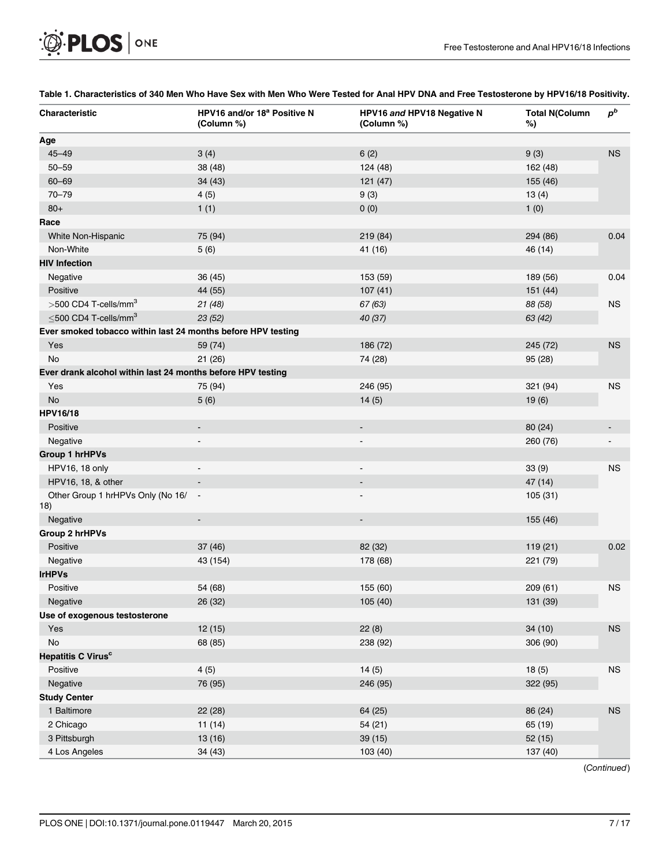<span id="page-6-0"></span>

| <b>OF PLOS</b> ONE |  |
|--------------------|--|
|--------------------|--|

| Characteristic                                               | HPV16 and/or 18 <sup>a</sup> Positive N<br>(Column %) | HPV16 and HPV18 Negative N<br>(Column %) | <b>Total N(Column</b><br>%) | $p^b$       |
|--------------------------------------------------------------|-------------------------------------------------------|------------------------------------------|-----------------------------|-------------|
| Age                                                          |                                                       |                                          |                             |             |
| $45 - 49$                                                    | 3(4)                                                  | 6(2)                                     | 9(3)                        | $_{\rm NS}$ |
| $50 - 59$                                                    | 38 (48)                                               | 124 (48)                                 | 162 (48)                    |             |
| $60 - 69$                                                    | 34 (43)                                               | 121(47)                                  | 155 (46)                    |             |
| $70 - 79$                                                    | 4(5)                                                  | 9(3)                                     | 13(4)                       |             |
| $80+$                                                        | 1(1)                                                  | 0(0)                                     | 1(0)                        |             |
| Race                                                         |                                                       |                                          |                             |             |
| White Non-Hispanic                                           | 75 (94)                                               | 219 (84)                                 | 294 (86)                    | 0.04        |
| Non-White                                                    | 5(6)                                                  | 41 (16)                                  | 46 (14)                     |             |
| <b>HIV Infection</b>                                         |                                                       |                                          |                             |             |
| Negative                                                     | 36 (45)                                               | 153 (59)                                 | 189 (56)                    | 0.04        |
| Positive                                                     | 44 (55)                                               | 107(41)                                  | 151 (44)                    |             |
| $>$ 500 CD4 T-cells/mm <sup>3</sup>                          | 21(48)                                                | 67 (63)                                  | 88 (58)                     | <b>NS</b>   |
| $\leq$ 500 CD4 T-cells/mm <sup>3</sup>                       | 23 (52)                                               | 40 (37)                                  | 63 (42)                     |             |
| Ever smoked tobacco within last 24 months before HPV testing |                                                       |                                          |                             |             |
| Yes                                                          | 59 (74)                                               | 186 (72)                                 | 245 (72)                    | $_{\rm NS}$ |
| No                                                           | 21 (26)                                               | 74 (28)                                  | 95 (28)                     |             |
| Ever drank alcohol within last 24 months before HPV testing  |                                                       |                                          |                             |             |
| Yes                                                          | 75 (94)                                               | 246 (95)                                 | 321 (94)                    | <b>NS</b>   |
| No                                                           | 5(6)                                                  | 14(5)                                    | 19(6)                       |             |
| <b>HPV16/18</b>                                              |                                                       |                                          |                             |             |
| Positive                                                     | ۰                                                     | $\blacksquare$                           | 80(24)                      |             |
| Negative                                                     | $\overline{\phantom{a}}$                              | $\overline{\phantom{a}}$                 | 260 (76)                    |             |
| <b>Group 1 hrHPVs</b>                                        |                                                       |                                          |                             |             |
| HPV16, 18 only                                               | $\overline{\phantom{a}}$                              | $\blacksquare$                           | 33(9)                       | <b>NS</b>   |
| HPV16, 18, & other                                           |                                                       | $\overline{\phantom{a}}$                 | 47 (14)                     |             |
| Other Group 1 hrHPVs Only (No 16/<br>18)                     | $\blacksquare$                                        | $\overline{\phantom{a}}$                 | 105(31)                     |             |
| Negative                                                     | $\qquad \qquad \blacksquare$                          |                                          | 155 (46)                    |             |
| <b>Group 2 hrHPVs</b>                                        |                                                       |                                          |                             |             |
| Positive                                                     | 37(46)                                                | 82 (32)                                  | 119(21)                     | 0.02        |
| Negative                                                     | 43 (154)                                              | 178 (68)                                 | 221 (79)                    |             |
| <b>IrHPVs</b>                                                |                                                       |                                          |                             |             |
| Positive                                                     | 54 (68)                                               | 155 (60)                                 | 209 (61)                    | <b>NS</b>   |
| Negative                                                     | 26 (32)                                               | 105 (40)                                 | 131 (39)                    |             |
| Use of exogenous testosterone                                |                                                       |                                          |                             |             |
| Yes                                                          | 12(15)                                                | 22(8)                                    | 34(10)                      | ${\sf NS}$  |
| No                                                           | 68 (85)                                               | 238 (92)                                 | 306 (90)                    |             |
| Hepatitis C Virus <sup>c</sup>                               |                                                       |                                          |                             |             |
| Positive                                                     | 4(5)                                                  | 14(5)                                    | 18(5)                       | ${\sf NS}$  |
| Negative                                                     | 76 (95)                                               | 246 (95)                                 | 322 (95)                    |             |
| <b>Study Center</b>                                          |                                                       |                                          |                             |             |
| 1 Baltimore                                                  | 22 (28)                                               | 64 (25)                                  | 86 (24)                     | ${\sf NS}$  |
| 2 Chicago                                                    | 11(14)                                                | 54 (21)                                  | 65 (19)                     |             |
| 3 Pittsburgh                                                 | 13 (16)                                               | 39(15)                                   | 52(15)                      |             |
| 4 Los Angeles                                                | 34 (43)                                               | 103 (40)                                 | 137 (40)                    |             |
|                                                              |                                                       |                                          |                             |             |

#### [Table 1.](#page-5-0) Characteristics of 340 Men Who Have Sex with Men Who Were Tested for Anal HPV DNA and Free Testosterone by HPV16/18 Positivity.

(Continued)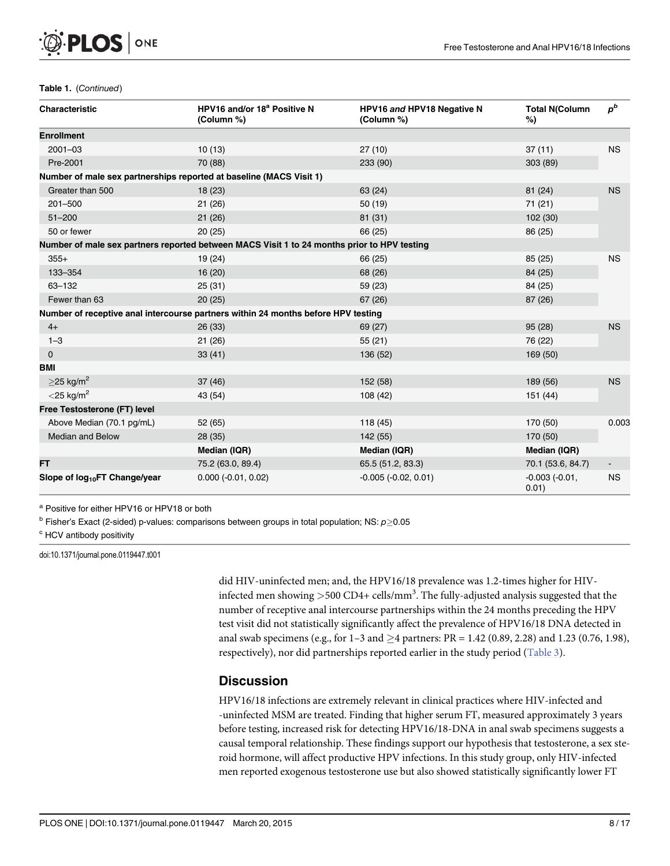#### Table 1. (Continued)

| <b>Characteristic</b>                                               | HPV16 and/or 18 <sup>a</sup> Positive N<br>(Column %)                                       | HPV16 and HPV18 Negative N<br>(Column %) | <b>Total N(Column</b><br>%) | $p^b$     |
|---------------------------------------------------------------------|---------------------------------------------------------------------------------------------|------------------------------------------|-----------------------------|-----------|
| <b>Enrollment</b>                                                   |                                                                                             |                                          |                             |           |
| $2001 - 03$                                                         | 10(13)                                                                                      | 27(10)                                   | 37(11)                      | <b>NS</b> |
| Pre-2001                                                            | 70 (88)                                                                                     | 233 (90)                                 | 303 (89)                    |           |
| Number of male sex partnerships reported at baseline (MACS Visit 1) |                                                                                             |                                          |                             |           |
| Greater than 500                                                    | 18(23)                                                                                      | 63 (24)                                  | 81 (24)                     | <b>NS</b> |
| $201 - 500$                                                         | 21(26)                                                                                      | 50(19)                                   | 71 (21)                     |           |
| $51 - 200$                                                          | 21(26)                                                                                      | 81 (31)                                  | 102(30)                     |           |
| 50 or fewer                                                         | 20(25)                                                                                      | 66 (25)                                  | 86 (25)                     |           |
|                                                                     | Number of male sex partners reported between MACS Visit 1 to 24 months prior to HPV testing |                                          |                             |           |
| $355+$                                                              | 19 (24)                                                                                     | 66 (25)                                  | 85 (25)                     | <b>NS</b> |
| 133-354                                                             | 16(20)                                                                                      | 68 (26)                                  | 84 (25)                     |           |
| 63-132                                                              | 25(31)                                                                                      | 59 (23)                                  | 84 (25)                     |           |
| Fewer than 63                                                       | 20(25)                                                                                      | 67(26)                                   | 87 (26)                     |           |
|                                                                     | Number of receptive anal intercourse partners within 24 months before HPV testing           |                                          |                             |           |
| $4+$                                                                | 26(33)                                                                                      | 69 (27)                                  | 95(28)                      | <b>NS</b> |
| $1 - 3$                                                             | 21(26)                                                                                      | 55(21)                                   | 76 (22)                     |           |
| $\mathbf 0$                                                         | 33(41)                                                                                      | 136 (52)                                 | 169 (50)                    |           |
| <b>BMI</b>                                                          |                                                                                             |                                          |                             |           |
| $>$ 25 kg/m <sup>2</sup>                                            | 37(46)                                                                                      | 152 (58)                                 | 189 (56)                    | <b>NS</b> |
| $<$ 25 kg/m <sup>2</sup>                                            | 43 (54)                                                                                     | 108(42)                                  | 151 (44)                    |           |
| Free Testosterone (FT) level                                        |                                                                                             |                                          |                             |           |
| Above Median (70.1 pg/mL)                                           | 52 (65)                                                                                     | 118(45)                                  | 170 (50)                    | 0.003     |
| <b>Median and Below</b>                                             | 28(35)                                                                                      | 142 (55)                                 | 170 (50)                    |           |
|                                                                     | Median (IQR)                                                                                | Median (IQR)                             | Median (IQR)                |           |
| <b>FT</b>                                                           | 75.2 (63.0, 89.4)                                                                           | 65.5 (51.2, 83.3)                        | 70.1 (53.6, 84.7)           |           |
| Slope of log <sub>10</sub> FT Change/year                           | $0.000 (-0.01, 0.02)$                                                                       | $-0.005 (-0.02, 0.01)$                   | $-0.003(-0.01,$<br>0.01)    | <b>NS</b> |

<sup>a</sup> Positive for either HPV16 or HPV18 or both

 $b$  Fisher's Exact (2-sided) p-values: comparisons between groups in total population; NS:  $p\geq0.05$ 

<sup>c</sup> HCV antibody positivity

doi:10.1371/journal.pone.0119447.t001

did HIV-uninfected men; and, the HPV16/18 prevalence was 1.2-times higher for HIVinfected men showing  $>$  500 CD4+ cells/mm<sup>3</sup>. The fully-adjusted analysis suggested that the number of receptive anal intercourse partnerships within the 24 months preceding the HPV test visit did not statistically significantly affect the prevalence of HPV16/18 DNA detected in anal swab specimens (e.g., for  $1-3$  and  $\geq 4$  partners: PR = 1.42 (0.89, 2.28) and 1.23 (0.76, 1.98), respectively), nor did partnerships reported earlier in the study period  $(Table 3)$  $(Table 3)$  $(Table 3)$ .

#### **Discussion**

HPV16/18 infections are extremely relevant in clinical practices where HIV-infected and -uninfected MSM are treated. Finding that higher serum FT, measured approximately 3 years before testing, increased risk for detecting HPV16/18-DNA in anal swab specimens suggests a causal temporal relationship. These findings support our hypothesis that testosterone, a sex steroid hormone, will affect productive HPV infections. In this study group, only HIV-infected men reported exogenous testosterone use but also showed statistically significantly lower FT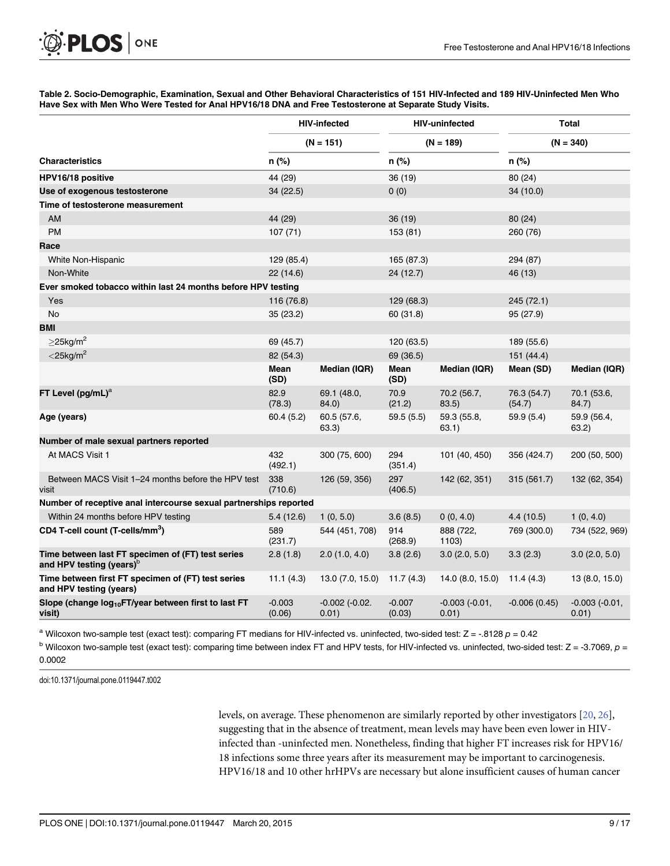<span id="page-8-0"></span>

[Table 2.](#page-5-0) Socio-Demographic, Examination, Sexual and Other Behavioral Characteristics of 151 HIV-Infected and 189 HIV-Uninfected Men Who Have Sex with Men Who Were Tested for Anal HPV16/18 DNA and Free Testosterone at Separate Study Visits.

|                                                                                           | <b>HIV-infected</b><br><b>HIV-uninfected</b><br>$(N = 151)$<br>$(N = 189)$ |                               |                    |                          | <b>Total</b><br>$(N = 340)$ |                          |
|-------------------------------------------------------------------------------------------|----------------------------------------------------------------------------|-------------------------------|--------------------|--------------------------|-----------------------------|--------------------------|
|                                                                                           |                                                                            |                               |                    |                          |                             |                          |
| <b>Characteristics</b>                                                                    | n (%)                                                                      |                               | n (%)              |                          | n (%)                       |                          |
| HPV16/18 positive                                                                         | 44 (29)                                                                    |                               | 36 (19)            |                          | 80 (24)                     |                          |
| Use of exogenous testosterone                                                             | 34 (22.5)                                                                  |                               | 0(0)               |                          | 34 (10.0)                   |                          |
| Time of testosterone measurement                                                          |                                                                            |                               |                    |                          |                             |                          |
| <b>AM</b>                                                                                 | 44 (29)                                                                    |                               | 36(19)             |                          | 80 (24)                     |                          |
| <b>PM</b>                                                                                 | 107(71)                                                                    |                               | 153 (81)           |                          | 260 (76)                    |                          |
| Race                                                                                      |                                                                            |                               |                    |                          |                             |                          |
| White Non-Hispanic                                                                        | 129 (85.4)                                                                 |                               | 165 (87.3)         |                          | 294 (87)                    |                          |
| Non-White                                                                                 | 22(14.6)                                                                   |                               | 24 (12.7)          |                          | 46 (13)                     |                          |
| Ever smoked tobacco within last 24 months before HPV testing                              |                                                                            |                               |                    |                          |                             |                          |
| Yes                                                                                       | 116 (76.8)                                                                 |                               | 129 (68.3)         |                          | 245 (72.1)                  |                          |
| <b>No</b>                                                                                 | 35(23.2)                                                                   |                               | 60 (31.8)          |                          | 95 (27.9)                   |                          |
| <b>BMI</b>                                                                                |                                                                            |                               |                    |                          |                             |                          |
| $>$ 25kg/m <sup>2</sup>                                                                   | 69 (45.7)                                                                  |                               | 120 (63.5)         |                          | 189 (55.6)                  |                          |
| $<$ 25kg/m <sup>2</sup>                                                                   | 82 (54.3)                                                                  |                               | 69 (36.5)          |                          | 151 (44.4)                  |                          |
|                                                                                           | Mean<br>(SD)                                                               | Median (IQR)                  | Mean<br>(SD)       | Median (IQR)             | Mean (SD)                   | Median (IQR)             |
| FT Level $(pg/mL)^a$                                                                      | 82.9<br>(78.3)                                                             | 69.1 (48.0,<br>84.0)          | 70.9<br>(21.2)     | 70.2 (56.7,<br>83.5)     | 76.3 (54.7)<br>(54.7)       | 70.1 (53.6,<br>84.7)     |
| Age (years)                                                                               | 60.4(5.2)                                                                  | 60.5 (57.6,<br>63.3)          | 59.5(5.5)          | 59.3 (55.8,<br>63.1)     | 59.9(5.4)                   | 59.9 (56.4,<br>63.2)     |
| Number of male sexual partners reported                                                   |                                                                            |                               |                    |                          |                             |                          |
| At MACS Visit 1                                                                           | 432<br>(492.1)                                                             | 300 (75, 600)                 | 294<br>(351.4)     | 101 (40, 450)            | 356 (424.7)                 | 200 (50, 500)            |
| Between MACS Visit 1-24 months before the HPV test<br>visit                               | 338<br>(710.6)                                                             | 126 (59, 356)                 | 297<br>(406.5)     | 142 (62, 351)            | 315 (561.7)                 | 132 (62, 354)            |
| Number of receptive anal intercourse sexual partnerships reported                         |                                                                            |                               |                    |                          |                             |                          |
| Within 24 months before HPV testing                                                       | 5.4(12.6)                                                                  | 1(0, 5.0)                     | 3.6(8.5)           | 0(0, 4.0)                | 4.4(10.5)                   | 1(0, 4.0)                |
| CD4 T-cell count (T-cells/mm <sup>3</sup> )                                               | 589<br>(231.7)                                                             | 544 (451, 708)                | 914<br>(268.9)     | 888 (722,<br>1103)       | 769 (300.0)                 | 734 (522, 969)           |
| Time between last FT specimen of (FT) test series<br>and HPV testing (years) <sup>b</sup> | 2.8(1.8)                                                                   | 2.0(1.0, 4.0)                 | 3.8(2.6)           | 3.0(2.0, 5.0)            | 3.3(2.3)                    | 3.0(2.0, 5.0)            |
| Time between first FT specimen of (FT) test series<br>and HPV testing (years)             | 11.1(4.3)                                                                  | 13.0 (7.0, 15.0)              | 11.7(4.3)          | 14.0 (8.0, 15.0)         | 11.4(4.3)                   | 13 (8.0, 15.0)           |
| Slope (change log <sub>10</sub> FT/year between first to last FT<br>visit)                | $-0.003$<br>(0.06)                                                         | $-0.002$ $(-0.02)$ .<br>0.01) | $-0.007$<br>(0.03) | $-0.003(-0.01,$<br>0.01) | $-0.006(0.45)$              | $-0.003(-0.01,$<br>0.01) |

<sup>a</sup> Wilcoxon two-sample test (exact test): comparing FT medians for HIV-infected vs. uninfected, two-sided test:  $Z = -0.8128$   $p = 0.42$ 

 $b$  Wilcoxon two-sample test (exact test): comparing time between index FT and HPV tests, for HIV-infected vs. uninfected, two-sided test:  $Z = -3.7069$ ,  $p =$ 0.0002

doi:10.1371/journal.pone.0119447.t002

levels, on average. These phenomenon are similarly reported by other investigators [[20](#page-14-0), [26](#page-15-0)], suggesting that in the absence of treatment, mean levels may have been even lower in HIVinfected than -uninfected men. Nonetheless, finding that higher FT increases risk for HPV16/ 18 infections some three years after its measurement may be important to carcinogenesis. HPV16/18 and 10 other hrHPVs are necessary but alone insufficient causes of human cancer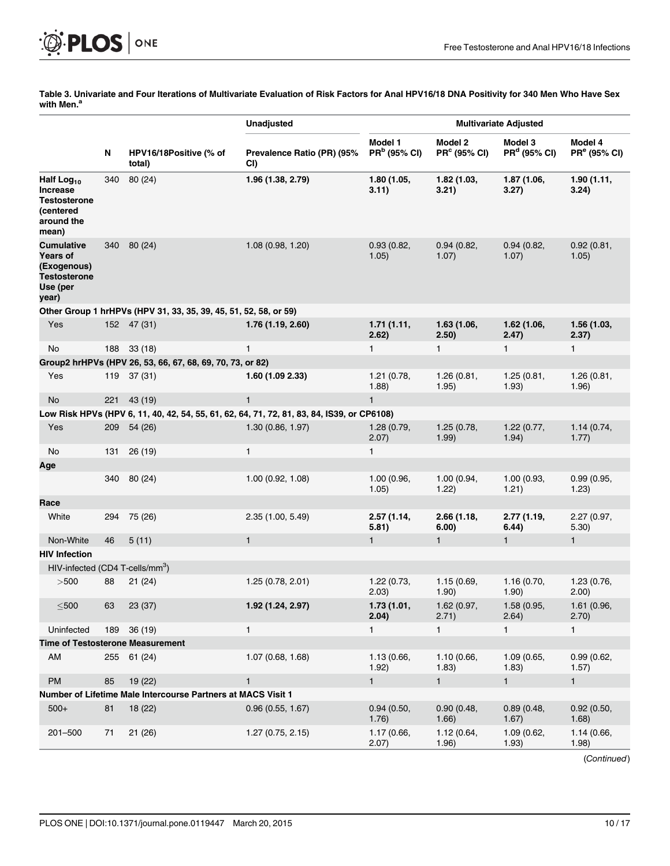<span id="page-9-0"></span>

[Table 3.](#page-5-0) Univariate and Four Iterations of Multivariate Evaluation of Risk Factors for Anal HPV16/18 DNA Positivity for 340 Men Who Have Sex<br>with Men.<sup>a</sup>

|                                                                                                 |     |                                                                  | <b>Unadjusted</b>                                                                          | <b>Multivariate Adjusted</b>        |                                     |                                     |                                     |
|-------------------------------------------------------------------------------------------------|-----|------------------------------------------------------------------|--------------------------------------------------------------------------------------------|-------------------------------------|-------------------------------------|-------------------------------------|-------------------------------------|
|                                                                                                 | N   | HPV16/18Positive (% of<br>total)                                 | Prevalence Ratio (PR) (95%<br>CI)                                                          | Model 1<br>PR <sup>b</sup> (95% CI) | Model 2<br>PR <sup>c</sup> (95% CI) | Model 3<br>PR <sup>d</sup> (95% CI) | Model 4<br>PR <sup>e</sup> (95% CI) |
| Half Log <sub>10</sub><br><b>Increase</b><br>Testosterone<br>(centered<br>around the<br>mean)   | 340 | 80 (24)                                                          | 1.96 (1.38, 2.79)                                                                          | 1.80 (1.05,<br>3.11)                | 1.82(1.03,<br>3.21)                 | 1.87 (1.06,<br>3.27)                | 1.90(1.11,<br>3.24)                 |
| <b>Cumulative</b><br><b>Years of</b><br>(Exogenous)<br><b>Testosterone</b><br>Use (per<br>year) | 340 | 80 (24)                                                          | 1.08(0.98, 1.20)                                                                           | 0.93(0.82,<br>1.05)                 | 0.94(0.82,<br>1.07)                 | 0.94(0.82,<br>1.07)                 | 0.92(0.81,<br>1.05)                 |
|                                                                                                 |     | Other Group 1 hrHPVs (HPV 31, 33, 35, 39, 45, 51, 52, 58, or 59) |                                                                                            |                                     |                                     |                                     |                                     |
| Yes                                                                                             |     | 152 47 (31)                                                      | 1.76 (1.19, 2.60)                                                                          | 1.71(1.11,<br>2.62)                 | 1.63(1.06,<br>2.50)                 | 1.62(1.06,<br>2.47)                 | 1.56 (1.03,<br>2.37)                |
| No                                                                                              | 188 | 33(18)                                                           | 1                                                                                          | $\mathbf{1}$                        | $\mathbf{1}$                        | $\mathbf{1}$                        | $\mathbf{1}$                        |
|                                                                                                 |     | Group2 hrHPVs (HPV 26, 53, 66, 67, 68, 69, 70, 73, or 82)        |                                                                                            |                                     |                                     |                                     |                                     |
| Yes                                                                                             | 119 | 37(31)                                                           | 1.60 (1.09 2.33)                                                                           | 1.21 (0.78,<br>(1.88)               | 1.26(0.81,<br>1.95)                 | 1.25(0.81,<br>1.93)                 | 1.26(0.81,<br>1.96)                 |
| No                                                                                              | 221 | 43 (19)                                                          | $\mathbf{1}$                                                                               | $\mathbf{1}$                        |                                     |                                     |                                     |
|                                                                                                 |     |                                                                  | Low Risk HPVs (HPV 6, 11, 40, 42, 54, 55, 61, 62, 64, 71, 72, 81, 83, 84, IS39, or CP6108) |                                     |                                     |                                     |                                     |
| Yes                                                                                             | 209 | 54(26)                                                           | 1.30(0.86, 1.97)                                                                           | 1.28(0.79,<br>2.07)                 | 1.25(0.78,<br>1.99)                 | 1.22(0.77,<br>1.94)                 | 1.14(0.74,<br>1.77)                 |
| No                                                                                              | 131 | 26(19)                                                           | $\mathbf{1}$                                                                               | 1                                   |                                     |                                     |                                     |
| Age                                                                                             |     |                                                                  |                                                                                            |                                     |                                     |                                     |                                     |
|                                                                                                 | 340 | 80 (24)                                                          | 1.00(0.92, 1.08)                                                                           | 1.00 (0.96,<br>1.05)                | 1.00(0.94,<br>1.22)                 | 1.00(0.93,<br>1.21)                 | 0.99(0.95,<br>1.23)                 |
| Race                                                                                            |     |                                                                  |                                                                                            |                                     |                                     |                                     |                                     |
| White                                                                                           | 294 | 75 (26)                                                          | 2.35(1.00, 5.49)                                                                           | 2.57 (1.14,<br>5.81)                | 2.66(1.18,<br>6.00)                 | 2.77 (1.19,<br>6.44)                | 2.27 (0.97,<br>5.30)                |
| Non-White                                                                                       | 46  | 5(11)                                                            | $\mathbf{1}$                                                                               | $\mathbf{1}$                        | $\mathbf{1}$                        | $\mathbf{1}$                        | $\mathbf{1}$                        |
| <b>HIV Infection</b>                                                                            |     |                                                                  |                                                                                            |                                     |                                     |                                     |                                     |
| HIV-infected (CD4 T-cells/mm <sup>3</sup> )                                                     |     |                                                                  |                                                                                            |                                     |                                     |                                     |                                     |
| >500                                                                                            | 88  | 21(24)                                                           | 1.25(0.78, 2.01)                                                                           | 1.22 (0.73,<br>2.03)                | 1.15(0.69,<br>1.90)                 | 1.16(0.70,<br>1.90)                 | 1.23 (0.76,<br>(2.00)               |
| $\leq$ 500                                                                                      | 63  | 23 (37)                                                          | 1.92 (1.24, 2.97)                                                                          | 1.73 (1.01,<br>2.04)                | 1.62 (0.97,<br>2.71)                | 1.58 (0.95,<br>2.64)                | 1.61 (0.96,<br>2.70)                |
| Uninfected                                                                                      | 189 | 36(19)                                                           | 1                                                                                          | $\mathbf{1}$                        | $\mathbf{1}$                        | $\mathbf{1}$                        | $\mathbf{1}$                        |
|                                                                                                 |     | <b>Time of Testosterone Measurement</b>                          |                                                                                            |                                     |                                     |                                     |                                     |
| AM                                                                                              |     | 255 61 (24)                                                      | 1.07(0.68, 1.68)                                                                           | 1.13 (0.66,<br>1.92)                | 1.10(0.66,<br>1.83)                 | 1.09(0.65,<br>1.83)                 | 0.99(0.62,<br>1.57)                 |
| PM                                                                                              | 85  | 19(22)                                                           | $\mathbf{1}$                                                                               | $\mathbf{1}$                        | $\mathbf{1}$                        | $\mathbf{1}$                        | $\mathbf{1}$                        |
|                                                                                                 |     | Number of Lifetime Male Intercourse Partners at MACS Visit 1     |                                                                                            |                                     |                                     |                                     |                                     |
| $500+$                                                                                          | 81  | 18(22)                                                           | 0.96(0.55, 1.67)                                                                           | 0.94(0.50,<br>1.76)                 | 0.90(0.48,<br>1.66)                 | 0.89(0.48,<br>1.67)                 | 0.92(0.50,<br>1.68)                 |
| 201-500                                                                                         | 71  | 21(26)                                                           | 1.27(0.75, 2.15)                                                                           | 1.17 (0.66,<br>2.07)                | 1.12 (0.64,<br>1.96)                | 1.09 (0.62,<br>1.93)                | 1.14 (0.66,<br>1.98)                |

(Continued)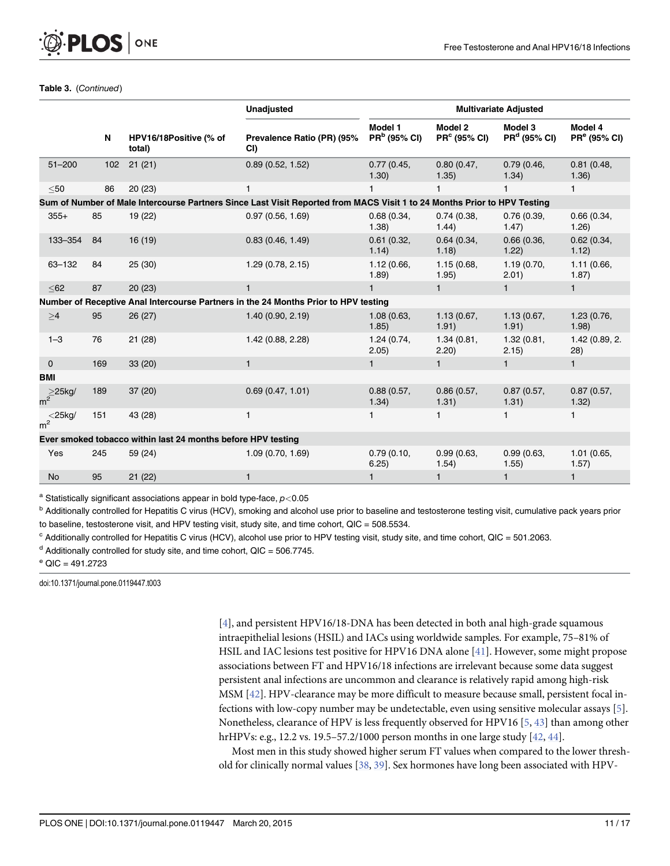#### Table 3. (Continued)

<span id="page-10-0"></span>**PLOS I** 

ONE

|                        |     |                                                              | <b>Unadjusted</b>                                                                                                        | <b>Multivariate Adjusted</b>        |                                |                                     |                                     |
|------------------------|-----|--------------------------------------------------------------|--------------------------------------------------------------------------------------------------------------------------|-------------------------------------|--------------------------------|-------------------------------------|-------------------------------------|
|                        | N   | HPV16/18Positive (% of<br>total)                             | Prevalence Ratio (PR) (95%<br>CI)                                                                                        | Model 1<br>PR <sup>b</sup> (95% CI) | Model 2<br><b>PR° (95% CI)</b> | Model 3<br>PR <sup>d</sup> (95% CI) | Model 4<br>PR <sup>e</sup> (95% CI) |
| $51 - 200$             | 102 | 21(21)                                                       | 0.89(0.52, 1.52)                                                                                                         | 0.77(0.45,<br>1.30)                 | 0.80(0.47,<br>1.35)            | 0.79(0.46,<br>1.34)                 | 0.81(0.48,<br>1.36)                 |
| $50$                   | 86  | 20(23)                                                       | 1                                                                                                                        | $\mathbf{1}$                        | 1                              | 1                                   | $\mathbf{1}$                        |
|                        |     |                                                              | Sum of Number of Male Intercourse Partners Since Last Visit Reported from MACS Visit 1 to 24 Months Prior to HPV Testing |                                     |                                |                                     |                                     |
| $355+$                 | 85  | 19(22)                                                       | 0.97(0.56, 1.69)                                                                                                         | 0.68(0.34,<br>1.38)                 | 0.74(0.38,<br>1.44)            | 0.76(0.39,<br>1.47)                 | 0.66(0.34,<br>1.26)                 |
| 133-354                | 84  | 16(19)                                                       | 0.83(0.46, 1.49)                                                                                                         | 0.61(0.32,<br>1.14)                 | 0.64(0.34,<br>1.18)            | 0.66(0.36,<br>1.22)                 | 0.62(0.34,<br>1.12)                 |
| 63-132                 | 84  | 25(30)                                                       | 1.29(0.78, 2.15)                                                                                                         | 1.12(0.66,<br>1.89)                 | 1.15(0.68,<br>1.95)            | 1.19(0.70,<br>2.01)                 | 1.11 (0.66,<br>1.87)                |
| $62$                   | 87  | 20(23)                                                       | $\mathbf{1}$                                                                                                             | $\mathbf{1}$                        | $\mathbf{1}$                   | $\mathbf{1}$                        | $\mathbf{1}$                        |
|                        |     |                                                              | Number of Receptive Anal Intercourse Partners in the 24 Months Prior to HPV testing                                      |                                     |                                |                                     |                                     |
| $\geq 4$               | 95  | 26(27)                                                       | 1.40(0.90, 2.19)                                                                                                         | 1.08(0.63,<br>1.85)                 | 1.13(0.67,<br>1.91)            | 1.13(0.67,<br>1.91)                 | 1.23 (0.76,<br>1.98)                |
| $1 - 3$                | 76  | 21(28)                                                       | 1.42 (0.88, 2.28)                                                                                                        | 1.24(0.74,<br>2.05)                 | 1.34(0.81,<br>2.20)            | 1.32(0.81,<br>2.15)                 | 1.42 (0.89, 2.<br>(28)              |
| $\mathbf{0}$           | 169 | 33(20)                                                       | $\mathbf{1}$                                                                                                             | $\mathbf{1}$                        | $\mathbf{1}$                   | $\mathbf{1}$                        | $\mathbf{1}$                        |
| <b>BMI</b>             |     |                                                              |                                                                                                                          |                                     |                                |                                     |                                     |
| $m^2$ <sup>25kg/</sup> | 189 | 37(20)                                                       | 0.69(0.47, 1.01)                                                                                                         | 0.88(0.57,<br>1.34)                 | 0.86(0.57,<br>1.31)            | 0.87(0.57,<br>1.31)                 | 0.87(0.57,<br>1.32)                 |
| $m^2$ <sup>25kg/</sup> | 151 | 43 (28)                                                      | $\mathbf{1}$                                                                                                             | 1                                   | 1.                             |                                     | $\mathbf{1}$                        |
|                        |     | Ever smoked tobacco within last 24 months before HPV testing |                                                                                                                          |                                     |                                |                                     |                                     |
| Yes                    | 245 | 59 (24)                                                      | 1.09(0.70, 1.69)                                                                                                         | 0.79(0.10,<br>6.25)                 | 0.99(0.63,<br>1.54)            | 0.99(0.63,<br>1.55)                 | 1.01 (0.65,<br>1.57)                |
| <b>No</b>              | 95  | 21(22)                                                       | 1                                                                                                                        | 1                                   | $\mathbf{1}$                   | 1                                   | $\mathbf{1}$                        |

 $^{\text{a}}$  Statistically significant associations appear in bold type-face,  $p<$  0.05

<sup>b</sup> Additionally controlled for Hepatitis C virus (HCV), smoking and alcohol use prior to baseline and testosterone testing visit, cumulative pack years prior to baseline, testosterone visit, and HPV testing visit, study site, and time cohort, QIC = 508.5534.

 $c$  Additionally controlled for Hepatitis C virus (HCV), alcohol use prior to HPV testing visit, study site, and time cohort, QIC = 501.2063.

 $d$  Additionally controlled for study site, and time cohort, QIC = 506.7745.

 $^{\circ}$  QIC = 491.2723

doi:10.1371/journal.pone.0119447.t003

[\[4](#page-13-0)], and persistent HPV16/18-DNA has been detected in both anal high-grade squamous intraepithelial lesions (HSIL) and IACs using worldwide samples. For example, 75–81% of HSIL and IAC lesions test positive for HPV16 DNA alone [\[41\]](#page-15-0). However, some might propose associations between FT and HPV16/18 infections are irrelevant because some data suggest persistent anal infections are uncommon and clearance is relatively rapid among high-risk MSM [\[42\]](#page-15-0). HPV-clearance may be more difficult to measure because small, persistent focal infections with low-copy number may be undetectable, even using sensitive molecular assays [[5](#page-13-0)]. Nonetheless, clearance of HPV is less frequently observed for HPV16  $[5, 43]$  $[5, 43]$  $[5, 43]$  than among other hrHPVs: e.g., 12.2 vs. 19.5–57.2/1000 person months in one large study [[42,](#page-15-0) [44\]](#page-15-0).

Most men in this study showed higher serum FT values when compared to the lower threshold for clinically normal values [[38](#page-15-0), [39](#page-15-0)]. Sex hormones have long been associated with HPV-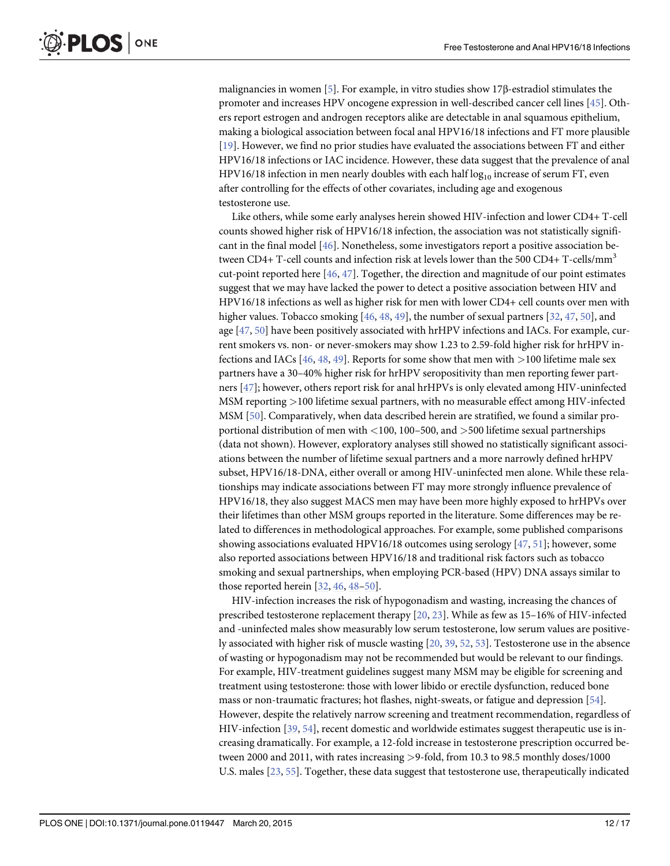<span id="page-11-0"></span>malignancies in women [[5](#page-13-0)]. For example, in vitro studies show 17β-estradiol stimulates the promoter and increases HPV oncogene expression in well-described cancer cell lines [\[45\]](#page-15-0). Others report estrogen and androgen receptors alike are detectable in anal squamous epithelium, making a biological association between focal anal HPV16/18 infections and FT more plausible [\[19](#page-14-0)]. However, we find no prior studies have evaluated the associations between FT and either HPV16/18 infections or IAC incidence. However, these data suggest that the prevalence of anal HPV16/18 infection in men nearly doubles with each half  $log_{10}$  increase of serum FT, even after controlling for the effects of other covariates, including age and exogenous testosterone use.

Like others, while some early analyses herein showed HIV-infection and lower CD4+ T-cell counts showed higher risk of HPV16/18 infection, the association was not statistically significant in the final model  $[46]$  $[46]$  $[46]$ . Nonetheless, some investigators report a positive association between CD4+ T-cell counts and infection risk at levels lower than the 500 CD4+ T-cells/mm<sup>3</sup> cut-point reported here  $[46, 47]$  $[46, 47]$  $[46, 47]$  $[46, 47]$  $[46, 47]$ . Together, the direction and magnitude of our point estimates suggest that we may have lacked the power to detect a positive association between HIV and HPV16/18 infections as well as higher risk for men with lower CD4+ cell counts over men with higher values. Tobacco smoking  $[46, 48, 49]$  $[46, 48, 49]$  $[46, 48, 49]$  $[46, 48, 49]$  $[46, 48, 49]$  $[46, 48, 49]$  $[46, 48, 49]$ , the number of sexual partners  $[32, 47, 50]$  $[32, 47, 50]$  $[32, 47, 50]$  $[32, 47, 50]$  $[32, 47, 50]$ , and age  $[47, 50]$  $[47, 50]$  $[47, 50]$  $[47, 50]$  $[47, 50]$  have been positively associated with hrHPV infections and IACs. For example, current smokers vs. non- or never-smokers may show 1.23 to 2.59-fold higher risk for hrHPV infections and IACs  $[46, 48, 49]$  $[46, 48, 49]$  $[46, 48, 49]$  $[46, 48, 49]$  $[46, 48, 49]$  $[46, 48, 49]$ . Reports for some show that men with  $>100$  lifetime male sex partners have a 30–40% higher risk for hrHPV seropositivity than men reporting fewer partners [[47](#page-16-0)]; however, others report risk for anal hrHPVs is only elevated among HIV-uninfected MSM reporting >100 lifetime sexual partners, with no measurable effect among HIV-infected MSM [\[50\]](#page-16-0). Comparatively, when data described herein are stratified, we found a similar proportional distribution of men with <100, 100–500, and >500 lifetime sexual partnerships (data not shown). However, exploratory analyses still showed no statistically significant associations between the number of lifetime sexual partners and a more narrowly defined hrHPV subset, HPV16/18-DNA, either overall or among HIV-uninfected men alone. While these relationships may indicate associations between FT may more strongly influence prevalence of HPV16/18, they also suggest MACS men may have been more highly exposed to hrHPVs over their lifetimes than other MSM groups reported in the literature. Some differences may be related to differences in methodological approaches. For example, some published comparisons showing associations evaluated HPV16/18 outcomes using serology  $[47, 51]$  $[47, 51]$  $[47, 51]$ ; however, some also reported associations between HPV16/18 and traditional risk factors such as tobacco smoking and sexual partnerships, when employing PCR-based (HPV) DNA assays similar to those reported herein  $[32, 46, 48-50]$  $[32, 46, 48-50]$  $[32, 46, 48-50]$  $[32, 46, 48-50]$  $[32, 46, 48-50]$  $[32, 46, 48-50]$  $[32, 46, 48-50]$  $[32, 46, 48-50]$ .

HIV-infection increases the risk of hypogonadism and wasting, increasing the chances of prescribed testosterone replacement therapy [\[20,](#page-14-0) [23\]](#page-14-0). While as few as 15–16% of HIV-infected and -uninfected males show measurably low serum testosterone, low serum values are positively associated with higher risk of muscle wasting [\[20](#page-14-0), [39](#page-15-0), [52,](#page-16-0) [53\]](#page-16-0). Testosterone use in the absence of wasting or hypogonadism may not be recommended but would be relevant to our findings. For example, HIV-treatment guidelines suggest many MSM may be eligible for screening and treatment using testosterone: those with lower libido or erectile dysfunction, reduced bone mass or non-traumatic fractures; hot flashes, night-sweats, or fatigue and depression [[54](#page-16-0)]. However, despite the relatively narrow screening and treatment recommendation, regardless of HIV-infection [\[39](#page-15-0), [54](#page-16-0)], recent domestic and worldwide estimates suggest therapeutic use is increasing dramatically. For example, a 12-fold increase in testosterone prescription occurred between 2000 and 2011, with rates increasing >9-fold, from 10.3 to 98.5 monthly doses/1000 U.S. males [\[23,](#page-14-0) [55\]](#page-16-0). Together, these data suggest that testosterone use, therapeutically indicated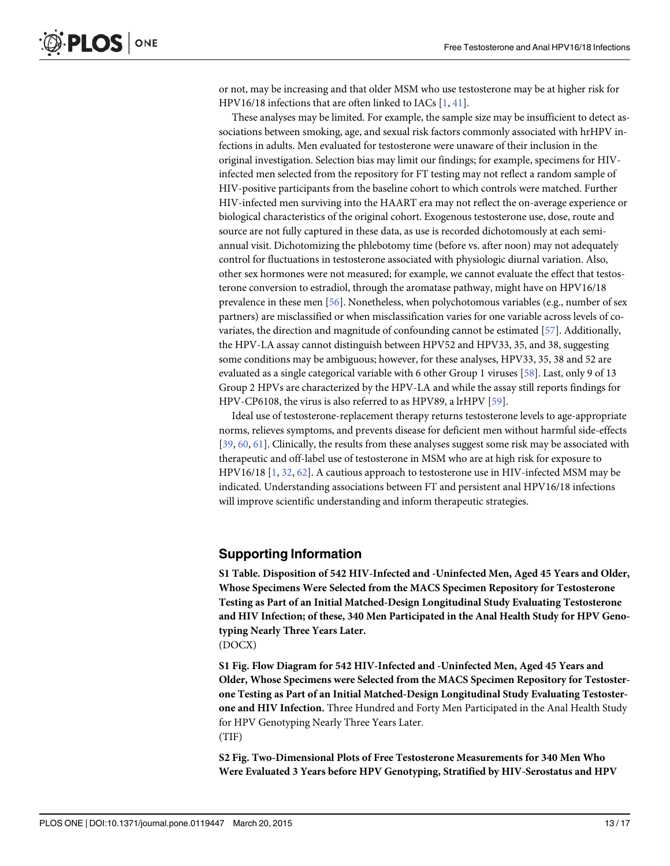<span id="page-12-0"></span>or not, may be increasing and that older MSM who use testosterone may be at higher risk for HPV16/18 infections that are often linked to IACs  $[1, 41]$  $[1, 41]$  $[1, 41]$  $[1, 41]$ .

These analyses may be limited. For example, the sample size may be insufficient to detect associations between smoking, age, and sexual risk factors commonly associated with hrHPV infections in adults. Men evaluated for testosterone were unaware of their inclusion in the original investigation. Selection bias may limit our findings; for example, specimens for HIVinfected men selected from the repository for FT testing may not reflect a random sample of HIV-positive participants from the baseline cohort to which controls were matched. Further HIV-infected men surviving into the HAART era may not reflect the on-average experience or biological characteristics of the original cohort. Exogenous testosterone use, dose, route and source are not fully captured in these data, as use is recorded dichotomously at each semiannual visit. Dichotomizing the phlebotomy time (before vs. after noon) may not adequately control for fluctuations in testosterone associated with physiologic diurnal variation. Also, other sex hormones were not measured; for example, we cannot evaluate the effect that testosterone conversion to estradiol, through the aromatase pathway, might have on HPV16/18 prevalence in these men [[56](#page-16-0)]. Nonetheless, when polychotomous variables (e.g., number of sex partners) are misclassified or when misclassification varies for one variable across levels of covariates, the direction and magnitude of confounding cannot be estimated [\[57\]](#page-16-0). Additionally, the HPV-LA assay cannot distinguish between HPV52 and HPV33, 35, and 38, suggesting some conditions may be ambiguous; however, for these analyses, HPV33, 35, 38 and 52 are evaluated as a single categorical variable with 6 other Group 1 viruses [[58\]](#page-16-0). Last, only 9 of 13 Group 2 HPVs are characterized by the HPV-LA and while the assay still reports findings for HPV-CP6108, the virus is also referred to as HPV89, a lrHPV [\[59\]](#page-16-0).

Ideal use of testosterone-replacement therapy returns testosterone levels to age-appropriate norms, relieves symptoms, and prevents disease for deficient men without harmful side-effects [\[39](#page-15-0), [60,](#page-16-0) [61](#page-16-0)]. Clinically, the results from these analyses suggest some risk may be associated with therapeutic and off-label use of testosterone in MSM who are at high risk for exposure to HPV16/18 [\[1](#page-13-0), [32](#page-15-0), [62](#page-16-0)]. A cautious approach to testosterone use in HIV-infected MSM may be indicated. Understanding associations between FT and persistent anal HPV16/18 infections will improve scientific understanding and inform therapeutic strategies.

#### Supporting Information

[S1 Table](http://www.plosone.org/article/fetchSingleRepresentation.action?uri=info:doi/10.1371/journal.pone.0119447.s001). Disposition of 542 HIV-Infected and -Uninfected Men, Aged 45 Years and Older, Whose Specimens Were Selected from the MACS Specimen Repository for Testosterone Testing as Part of an Initial Matched-Design Longitudinal Study Evaluating Testosterone and HIV Infection; of these, 340 Men Participated in the Anal Health Study for HPV Genotyping Nearly Three Years Later. (DOCX)

[S1 Fig.](http://www.plosone.org/article/fetchSingleRepresentation.action?uri=info:doi/10.1371/journal.pone.0119447.s002) Flow Diagram for 542 HIV-Infected and -Uninfected Men, Aged 45 Years and Older, Whose Specimens were Selected from the MACS Specimen Repository for Testosterone Testing as Part of an Initial Matched-Design Longitudinal Study Evaluating Testosterone and HIV Infection. Three Hundred and Forty Men Participated in the Anal Health Study for HPV Genotyping Nearly Three Years Later. (TIF)

[S2 Fig.](http://www.plosone.org/article/fetchSingleRepresentation.action?uri=info:doi/10.1371/journal.pone.0119447.s003) Two-Dimensional Plots of Free Testosterone Measurements for 340 Men Who Were Evaluated 3 Years before HPV Genotyping, Stratified by HIV-Serostatus and HPV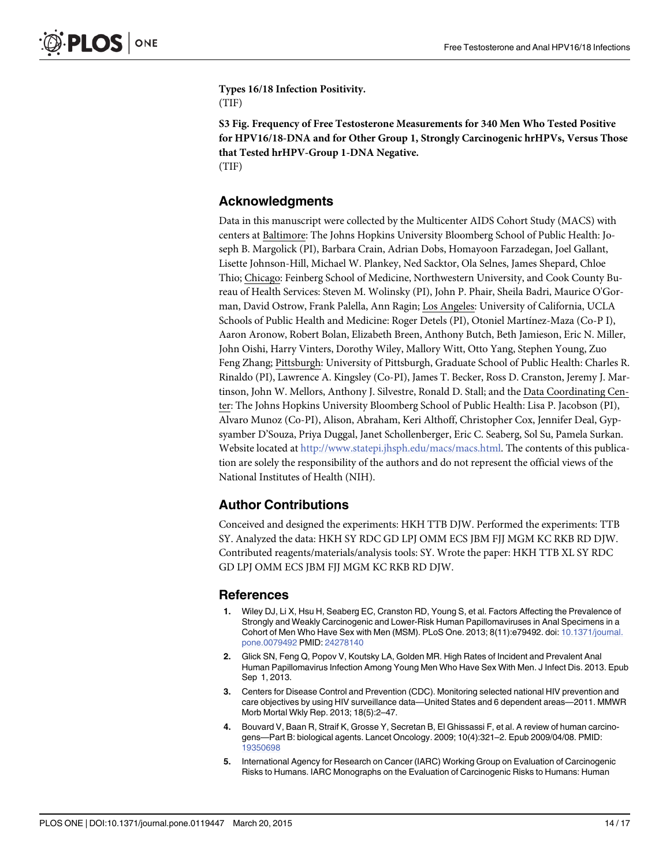<span id="page-13-0"></span>Types 16/18 Infection Positivity. (TIF)

[S3 Fig.](http://www.plosone.org/article/fetchSingleRepresentation.action?uri=info:doi/10.1371/journal.pone.0119447.s004) Frequency of Free Testosterone Measurements for 340 Men Who Tested Positive for HPV16/18-DNA and for Other Group 1, Strongly Carcinogenic hrHPVs, Versus Those that Tested hrHPV-Group 1-DNA Negative. (TIF)

#### Acknowledgments

Data in this manuscript were collected by the Multicenter AIDS Cohort Study (MACS) with centers at Baltimore: The Johns Hopkins University Bloomberg School of Public Health: Joseph B. Margolick (PI), Barbara Crain, Adrian Dobs, Homayoon Farzadegan, Joel Gallant, Lisette Johnson-Hill, Michael W. Plankey, Ned Sacktor, Ola Selnes, James Shepard, Chloe Thio; Chicago: Feinberg School of Medicine, Northwestern University, and Cook County Bureau of Health Services: Steven M. Wolinsky (PI), John P. Phair, Sheila Badri, Maurice O'Gorman, David Ostrow, Frank Palella, Ann Ragin; Los Angeles: University of California, UCLA Schools of Public Health and Medicine: Roger Detels (PI), Otoniel Martínez-Maza (Co-P I), Aaron Aronow, Robert Bolan, Elizabeth Breen, Anthony Butch, Beth Jamieson, Eric N. Miller, John Oishi, Harry Vinters, Dorothy Wiley, Mallory Witt, Otto Yang, Stephen Young, Zuo Feng Zhang; Pittsburgh: University of Pittsburgh, Graduate School of Public Health: Charles R. Rinaldo (PI), Lawrence A. Kingsley (Co-PI), James T. Becker, Ross D. Cranston, Jeremy J. Martinson, John W. Mellors, Anthony J. Silvestre, Ronald D. Stall; and the Data Coordinating Center: The Johns Hopkins University Bloomberg School of Public Health: Lisa P. Jacobson (PI), Alvaro Munoz (Co-PI), Alison, Abraham, Keri Althoff, Christopher Cox, Jennifer Deal, Gypsyamber D'Souza, Priya Duggal, Janet Schollenberger, Eric C. Seaberg, Sol Su, Pamela Surkan. Website located at [http://www.statepi.jhsph.edu/macs/macs.html.](http://www.statepi.jhsph.edu/macs/macs.html) The contents of this publication are solely the responsibility of the authors and do not represent the official views of the National Institutes of Health (NIH).

#### Author Contributions

Conceived and designed the experiments: HKH TTB DJW. Performed the experiments: TTB SY. Analyzed the data: HKH SY RDC GD LPJ OMM ECS JBM FJJ MGM KC RKB RD DJW. Contributed reagents/materials/analysis tools: SY. Wrote the paper: HKH TTB XL SY RDC GD LPJ OMM ECS JBM FJJ MGM KC RKB RD DJW.

#### References

- [1.](#page-1-0) Wiley DJ, Li X, Hsu H, Seaberg EC, Cranston RD, Young S, et al. Factors Affecting the Prevalence of Strongly and Weakly Carcinogenic and Lower-Risk Human Papillomaviruses in Anal Specimens in a Cohort of Men Who Have Sex with Men (MSM). PLoS One. 2013; 8(11):e79492. doi: [10.1371/journal.](http://dx.doi.org/10.1371/journal.pone.0079492) [pone.0079492](http://dx.doi.org/10.1371/journal.pone.0079492) PMID: [24278140](http://www.ncbi.nlm.nih.gov/pubmed/24278140)
- 2. Glick SN, Feng Q, Popov V, Koutsky LA, Golden MR. High Rates of Incident and Prevalent Anal Human Papillomavirus Infection Among Young Men Who Have Sex With Men. J Infect Dis. 2013. Epub Sep 1, 2013.
- [3.](#page-1-0) Centers for Disease Control and Prevention (CDC). Monitoring selected national HIV prevention and care objectives by using HIV surveillance data—United States and 6 dependent areas—2011. MMWR Morb Mortal Wkly Rep. 2013; 18(5):2–47.
- [4.](#page-1-0) Bouvard V, Baan R, Straif K, Grosse Y, Secretan B, El Ghissassi F, et al. A review of human carcinogens—Part B: biological agents. Lancet Oncology. 2009; 10(4):321–2. Epub 2009/04/08. PMID: [19350698](http://www.ncbi.nlm.nih.gov/pubmed/19350698)
- [5.](#page-1-0) International Agency for Research on Cancer (IARC) Working Group on Evaluation of Carcinogenic Risks to Humans. IARC Monographs on the Evaluation of Carcinogenic Risks to Humans: Human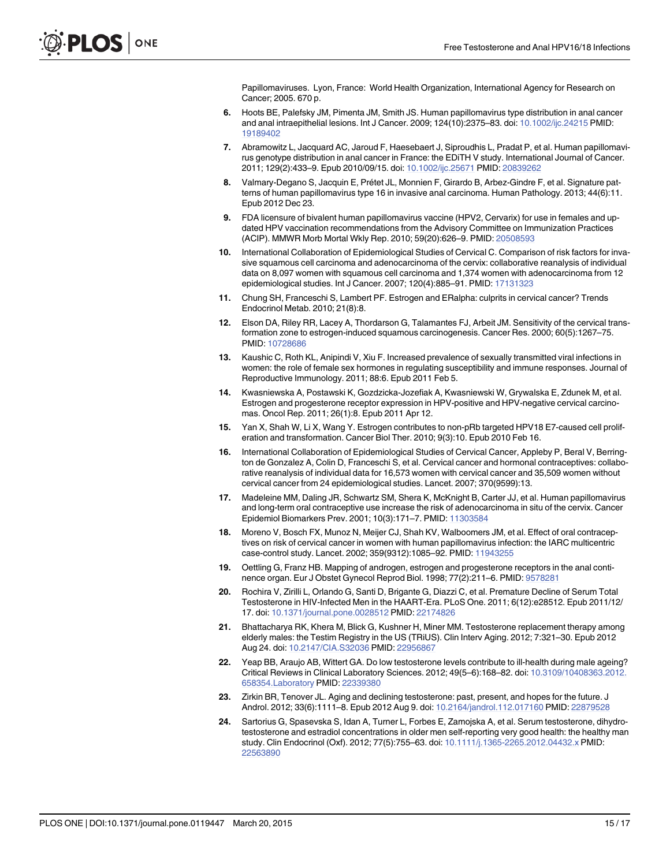Papillomaviruses. Lyon, France: World Health Organization, International Agency for Research on Cancer; 2005. 670 p.

- <span id="page-14-0"></span>[6.](#page-1-0) Hoots BE, Palefsky JM, Pimenta JM, Smith JS. Human papillomavirus type distribution in anal cancer and anal intraepithelial lesions. Int J Cancer. 2009; 124(10):2375–83. doi: [10.1002/ijc.24215](http://dx.doi.org/10.1002/ijc.24215) PMID: [19189402](http://www.ncbi.nlm.nih.gov/pubmed/19189402)
- 7. Abramowitz L, Jacquard AC, Jaroud F, Haesebaert J, Siproudhis L, Pradat P, et al. Human papillomavirus genotype distribution in anal cancer in France: the EDiTH V study. International Journal of Cancer. 2011; 129(2):433–9. Epub 2010/09/15. doi: [10.1002/ijc.25671](http://dx.doi.org/10.1002/ijc.25671) PMID: [20839262](http://www.ncbi.nlm.nih.gov/pubmed/20839262)
- 8. Valmary-Degano S, Jacquin E, Prétet JL, Monnien F, Girardo B, Arbez-Gindre F, et al. Signature patterns of human papillomavirus type 16 in invasive anal carcinoma. Human Pathology. 2013; 44(6):11. Epub 2012 Dec 23.
- [9.](#page-1-0) FDA licensure of bivalent human papillomavirus vaccine (HPV2, Cervarix) for use in females and updated HPV vaccination recommendations from the Advisory Committee on Immunization Practices (ACIP). MMWR Morb Mortal Wkly Rep. 2010; 59(20):626–9. PMID: [20508593](http://www.ncbi.nlm.nih.gov/pubmed/20508593)
- [10.](#page-1-0) International Collaboration of Epidemiological Studies of Cervical C. Comparison of risk factors for invasive squamous cell carcinoma and adenocarcinoma of the cervix: collaborative reanalysis of individual data on 8,097 women with squamous cell carcinoma and 1,374 women with adenocarcinoma from 12 epidemiological studies. Int J Cancer. 2007; 120(4):885-91. PMID: [17131323](http://www.ncbi.nlm.nih.gov/pubmed/17131323)
- [11.](#page-1-0) Chung SH, Franceschi S, Lambert PF. Estrogen and ERalpha: culprits in cervical cancer? Trends Endocrinol Metab. 2010; 21(8):8.
- 12. Elson DA, Riley RR, Lacey A, Thordarson G, Talamantes FJ, Arbeit JM. Sensitivity of the cervical transformation zone to estrogen-induced squamous carcinogenesis. Cancer Res. 2000; 60(5):1267–75. PMID: [10728686](http://www.ncbi.nlm.nih.gov/pubmed/10728686)
- 13. Kaushic C, Roth KL, Anipindi V, Xiu F. Increased prevalence of sexually transmitted viral infections in women: the role of female sex hormones in regulating susceptibility and immune responses. Journal of Reproductive Immunology. 2011; 88:6. Epub 2011 Feb 5.
- 14. Kwasniewska A, Postawski K, Gozdzicka-Jozefiak A, Kwasniewski W, Grywalska E, Zdunek M, et al. Estrogen and progesterone receptor expression in HPV-positive and HPV-negative cervical carcinomas. Oncol Rep. 2011; 26(1):8. Epub 2011 Apr 12.
- 15. Yan X, Shah W, Li X, Wang Y. Estrogen contributes to non-pRb targeted HPV18 E7-caused cell proliferation and transformation. Cancer Biol Ther. 2010; 9(3):10. Epub 2010 Feb 16.
- 16. International Collaboration of Epidemiological Studies of Cervical Cancer, Appleby P, Beral V, Berrington de Gonzalez A, Colin D, Franceschi S, et al. Cervical cancer and hormonal contraceptives: collaborative reanalysis of individual data for 16,573 women with cervical cancer and 35,509 women without cervical cancer from 24 epidemiological studies. Lancet. 2007; 370(9599):13.
- 17. Madeleine MM, Daling JR, Schwartz SM, Shera K, McKnight B, Carter JJ, et al. Human papillomavirus and long-term oral contraceptive use increase the risk of adenocarcinoma in situ of the cervix. Cancer Epidemiol Biomarkers Prev. 2001; 10(3):171-7. PMID: [11303584](http://www.ncbi.nlm.nih.gov/pubmed/11303584)
- [18.](#page-1-0) Moreno V, Bosch FX, Munoz N, Meijer CJ, Shah KV, Walboomers JM, et al. Effect of oral contraceptives on risk of cervical cancer in women with human papillomavirus infection: the IARC multicentric case-control study. Lancet. 2002; 359(9312):1085–92. PMID: [11943255](http://www.ncbi.nlm.nih.gov/pubmed/11943255)
- [19.](#page-1-0) Oettling G, Franz HB. Mapping of androgen, estrogen and progesterone receptors in the anal continence organ. Eur J Obstet Gynecol Reprod Biol. 1998; 77(2):211–6. PMID: [9578281](http://www.ncbi.nlm.nih.gov/pubmed/9578281)
- [20.](#page-1-0) Rochira V, Zirilli L, Orlando G, Santi D, Brigante G, Diazzi C, et al. Premature Decline of Serum Total Testosterone in HIV-Infected Men in the HAART-Era. PLoS One. 2011; 6(12):e28512. Epub 2011/12/ 17. doi: [10.1371/journal.pone.0028512](http://dx.doi.org/10.1371/journal.pone.0028512) PMID: [22174826](http://www.ncbi.nlm.nih.gov/pubmed/22174826)
- 21. Bhattacharya RK, Khera M, Blick G, Kushner H, Miner MM. Testosterone replacement therapy among elderly males: the Testim Registry in the US (TRiUS). Clin Interv Aging. 2012; 7:321–30. Epub 2012 Aug 24. doi: [10.2147/CIA.S32036](http://dx.doi.org/10.2147/CIA.S32036) PMID: [22956867](http://www.ncbi.nlm.nih.gov/pubmed/22956867)
- 22. Yeap BB, Araujo AB, Wittert GA. Do low testosterone levels contribute to ill-health during male ageing? Critical Reviews in Clinical Laboratory Sciences. 2012; 49(5–6):168–82. doi: [10.3109/10408363.2012.](http://dx.doi.org/10.3109/10408363.2012.658354.Laboratory) [658354.Laboratory](http://dx.doi.org/10.3109/10408363.2012.658354.Laboratory) PMID: [22339380](http://www.ncbi.nlm.nih.gov/pubmed/22339380)
- [23.](#page-11-0) Zirkin BR, Tenover JL. Aging and declining testosterone: past, present, and hopes for the future. J Androl. 2012; 33(6):1111–8. Epub 2012 Aug 9. doi: [10.2164/jandrol.112.017160](http://dx.doi.org/10.2164/jandrol.112.017160) PMID: [22879528](http://www.ncbi.nlm.nih.gov/pubmed/22879528)
- 24. Sartorius G, Spasevska S, Idan A, Turner L, Forbes E, Zamojska A, et al. Serum testosterone, dihydrotestosterone and estradiol concentrations in older men self-reporting very good health: the healthy man study. Clin Endocrinol (Oxf). 2012; 77(5):755–63. doi: [10.1111/j.1365-2265.2012.04432.x](http://dx.doi.org/10.1111/j.1365-2265.2012.04432.x) PMID: [22563890](http://www.ncbi.nlm.nih.gov/pubmed/22563890)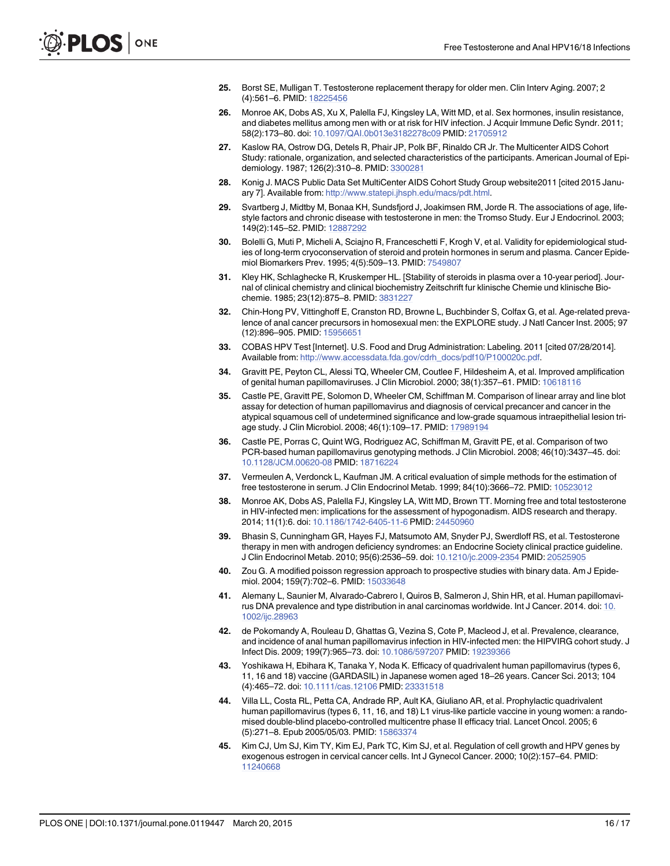- <span id="page-15-0"></span>[25.](#page-1-0) Borst SE, Mulligan T. Testosterone replacement therapy for older men. Clin Interv Aging. 2007; 2 (4):561–6. PMID: [18225456](http://www.ncbi.nlm.nih.gov/pubmed/18225456)
- [26.](#page-2-0) Monroe AK, Dobs AS, Xu X, Palella FJ, Kingsley LA, Witt MD, et al. Sex hormones, insulin resistance, and diabetes mellitus among men with or at risk for HIV infection. J Acquir Immune Defic Syndr. 2011; 58(2):173–80. doi: [10.1097/QAI.0b013e3182278c09](http://dx.doi.org/10.1097/QAI.0b013e3182278c09) PMID: [21705912](http://www.ncbi.nlm.nih.gov/pubmed/21705912)
- [27.](#page-2-0) Kaslow RA, Ostrow DG, Detels R, Phair JP, Polk BF, Rinaldo CR Jr. The Multicenter AIDS Cohort Study: rationale, organization, and selected characteristics of the participants. American Journal of Epidemiology. 1987; 126(2):310–8. PMID: [3300281](http://www.ncbi.nlm.nih.gov/pubmed/3300281)
- [28.](#page-2-0) Konig J. MACS Public Data Set MultiCenter AIDS Cohort Study Group website2011 [cited 2015 January 7]. Available from: [http://www.statepi.jhsph.edu/macs/pdt.html.](http://www.statepi.jhsph.edu/macs/pdt.html)
- [29.](#page-2-0) Svartberg J, Midtby M, Bonaa KH, Sundsfjord J, Joakimsen RM, Jorde R. The associations of age, lifestyle factors and chronic disease with testosterone in men: the Tromso Study. Eur J Endocrinol. 2003; 149(2):145–52. PMID: [12887292](http://www.ncbi.nlm.nih.gov/pubmed/12887292)
- 30. Bolelli G, Muti P, Micheli A, Sciajno R, Franceschetti F, Krogh V, et al. Validity for epidemiological studies of long-term cryoconservation of steroid and protein hormones in serum and plasma. Cancer Epidemiol Biomarkers Prev. 1995; 4(5):509–13. PMID: [7549807](http://www.ncbi.nlm.nih.gov/pubmed/7549807)
- [31.](#page-2-0) Kley HK, Schlaghecke R, Kruskemper HL. [Stability of steroids in plasma over a 10-year period]. Journal of clinical chemistry and clinical biochemistry Zeitschrift fur klinische Chemie und klinische Biochemie. 1985; 23(12):875–8. PMID: [3831227](http://www.ncbi.nlm.nih.gov/pubmed/3831227)
- [32.](#page-3-0) Chin-Hong PV, Vittinghoff E, Cranston RD, Browne L, Buchbinder S, Colfax G, et al. Age-related prevalence of anal cancer precursors in homosexual men: the EXPLORE study. J Natl Cancer Inst. 2005; 97 (12):896–905. PMID: [15956651](http://www.ncbi.nlm.nih.gov/pubmed/15956651)
- [33.](#page-3-0) COBAS HPV Test [Internet]. U.S. Food and Drug Administration: Labeling. 2011 [cited 07/28/2014]. Available from: [http://www.accessdata.fda.gov/cdrh\\_docs/pdf10/P100020c.pdf](http://www.accessdata.fda.gov/cdrh_docs/pdf10/P100020c.pdf).
- [34.](#page-3-0) Gravitt PE, Peyton CL, Alessi TQ, Wheeler CM, Coutlee F, Hildesheim A, et al. Improved amplification of genital human papillomaviruses. J Clin Microbiol. 2000; 38(1):357-61. PMID: [10618116](http://www.ncbi.nlm.nih.gov/pubmed/10618116)
- [35.](#page-3-0) Castle PE, Gravitt PE, Solomon D, Wheeler CM, Schiffman M. Comparison of linear array and line blot assay for detection of human papillomavirus and diagnosis of cervical precancer and cancer in the atypical squamous cell of undetermined significance and low-grade squamous intraepithelial lesion triage study. J Clin Microbiol. 2008; 46(1):109–17. PMID: [17989194](http://www.ncbi.nlm.nih.gov/pubmed/17989194)
- [36.](#page-3-0) Castle PE, Porras C, Quint WG, Rodriguez AC, Schiffman M, Gravitt PE, et al. Comparison of two PCR-based human papillomavirus genotyping methods. J Clin Microbiol. 2008; 46(10):3437–45. doi: [10.1128/JCM.00620-08](http://dx.doi.org/10.1128/JCM.00620-08) PMID: [18716224](http://www.ncbi.nlm.nih.gov/pubmed/18716224)
- [37.](#page-3-0) Vermeulen A, Verdonck L, Kaufman JM. A critical evaluation of simple methods for the estimation of free testosterone in serum. J Clin Endocrinol Metab. 1999; 84(10):3666–72. PMID: [10523012](http://www.ncbi.nlm.nih.gov/pubmed/10523012)
- [38.](#page-3-0) Monroe AK, Dobs AS, Palella FJ, Kingsley LA, Witt MD, Brown TT. Morning free and total testosterone in HIV-infected men: implications for the assessment of hypogonadism. AIDS research and therapy. 2014; 11(1):6. doi: [10.1186/1742-6405-11-6](http://dx.doi.org/10.1186/1742-6405-11-6) PMID: [24450960](http://www.ncbi.nlm.nih.gov/pubmed/24450960)
- [39.](#page-3-0) Bhasin S, Cunningham GR, Hayes FJ, Matsumoto AM, Snyder PJ, Swerdloff RS, et al. Testosterone therapy in men with androgen deficiency syndromes: an Endocrine Society clinical practice guideline. J Clin Endocrinol Metab. 2010; 95(6):2536–59. doi: [10.1210/jc.2009-2354](http://dx.doi.org/10.1210/jc.2009-2354) PMID: [20525905](http://www.ncbi.nlm.nih.gov/pubmed/20525905)
- [40.](#page-4-0) Zou G. A modified poisson regression approach to prospective studies with binary data. Am J Epide-miol. 2004; 159(7):702-6. PMID: [15033648](http://www.ncbi.nlm.nih.gov/pubmed/15033648)
- [41.](#page-10-0) Alemany L, Saunier M, Alvarado-Cabrero I, Quiros B, Salmeron J, Shin HR, et al. Human papillomavirus DNA prevalence and type distribution in anal carcinomas worldwide. Int J Cancer. 2014. doi: [10.](http://dx.doi.org/10.1002/ijc.28963) [1002/ijc.28963](http://dx.doi.org/10.1002/ijc.28963)
- [42.](#page-10-0) de Pokomandy A, Rouleau D, Ghattas G, Vezina S, Cote P, Macleod J, et al. Prevalence, clearance, and incidence of anal human papillomavirus infection in HIV-infected men: the HIPVIRG cohort study. J Infect Dis. 2009; 199(7):965–73. doi: [10.1086/597207](http://dx.doi.org/10.1086/597207) PMID: [19239366](http://www.ncbi.nlm.nih.gov/pubmed/19239366)
- [43.](#page-10-0) Yoshikawa H, Ebihara K, Tanaka Y, Noda K. Efficacy of quadrivalent human papillomavirus (types 6, 11, 16 and 18) vaccine (GARDASIL) in Japanese women aged 18–26 years. Cancer Sci. 2013; 104 (4):465–72. doi: [10.1111/cas.12106](http://dx.doi.org/10.1111/cas.12106) PMID: [23331518](http://www.ncbi.nlm.nih.gov/pubmed/23331518)
- [44.](#page-10-0) Villa LL, Costa RL, Petta CA, Andrade RP, Ault KA, Giuliano AR, et al. Prophylactic quadrivalent human papillomavirus (types 6, 11, 16, and 18) L1 virus-like particle vaccine in young women: a randomised double-blind placebo-controlled multicentre phase II efficacy trial. Lancet Oncol. 2005; 6 (5):271–8. Epub 2005/05/03. PMID: [15863374](http://www.ncbi.nlm.nih.gov/pubmed/15863374)
- [45.](#page-11-0) Kim CJ, Um SJ, Kim TY, Kim EJ, Park TC, Kim SJ, et al. Regulation of cell growth and HPV genes by exogenous estrogen in cervical cancer cells. Int J Gynecol Cancer. 2000; 10(2):157–64. PMID: [11240668](http://www.ncbi.nlm.nih.gov/pubmed/11240668)